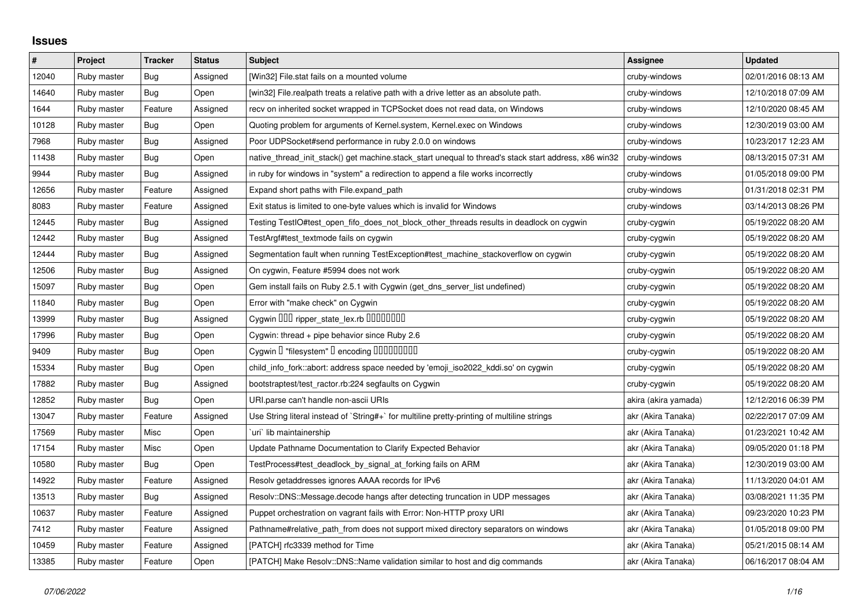## **Issues**

| $\#$  | Project     | <b>Tracker</b> | <b>Status</b> | <b>Subject</b>                                                                                        | Assignee             | <b>Updated</b>      |
|-------|-------------|----------------|---------------|-------------------------------------------------------------------------------------------------------|----------------------|---------------------|
| 12040 | Ruby master | Bug            | Assigned      | [Win32] File.stat fails on a mounted volume                                                           | cruby-windows        | 02/01/2016 08:13 AM |
| 14640 | Ruby master | Bug            | Open          | [win32] File.realpath treats a relative path with a drive letter as an absolute path.                 | cruby-windows        | 12/10/2018 07:09 AM |
| 1644  | Ruby master | Feature        | Assigned      | recv on inherited socket wrapped in TCPSocket does not read data, on Windows                          | cruby-windows        | 12/10/2020 08:45 AM |
| 10128 | Ruby master | <b>Bug</b>     | Open          | Quoting problem for arguments of Kernel.system, Kernel.exec on Windows                                | cruby-windows        | 12/30/2019 03:00 AM |
| 7968  | Ruby master | Bug            | Assigned      | Poor UDPSocket#send performance in ruby 2.0.0 on windows                                              | cruby-windows        | 10/23/2017 12:23 AM |
| 11438 | Ruby master | Bug            | Open          | native thread init stack() get machine.stack start unequal to thread's stack start address, x86 win32 | cruby-windows        | 08/13/2015 07:31 AM |
| 9944  | Ruby master | Bug            | Assigned      | in ruby for windows in "system" a redirection to append a file works incorrectly                      | cruby-windows        | 01/05/2018 09:00 PM |
| 12656 | Ruby master | Feature        | Assigned      | Expand short paths with File.expand_path                                                              | cruby-windows        | 01/31/2018 02:31 PM |
| 8083  | Ruby master | Feature        | Assigned      | Exit status is limited to one-byte values which is invalid for Windows                                | cruby-windows        | 03/14/2013 08:26 PM |
| 12445 | Ruby master | Bug            | Assigned      | Testing TestIO#test_open_fifo_does_not_block_other_threads results in deadlock on cygwin              | cruby-cygwin         | 05/19/2022 08:20 AM |
| 12442 | Ruby master | Bug            | Assigned      | TestArgf#test_textmode fails on cygwin                                                                | cruby-cygwin         | 05/19/2022 08:20 AM |
| 12444 | Ruby master | Bug            | Assigned      | Segmentation fault when running TestException#test machine stackoverflow on cygwin                    | cruby-cygwin         | 05/19/2022 08:20 AM |
| 12506 | Ruby master | Bug            | Assigned      | On cygwin, Feature #5994 does not work                                                                | cruby-cygwin         | 05/19/2022 08:20 AM |
| 15097 | Ruby master | Bug            | Open          | Gem install fails on Ruby 2.5.1 with Cygwin (get_dns_server_list undefined)                           | cruby-cygwin         | 05/19/2022 08:20 AM |
| 11840 | Ruby master | Bug            | Open          | Error with "make check" on Cygwin                                                                     | cruby-cygwin         | 05/19/2022 08:20 AM |
| 13999 | Ruby master | Bug            | Assigned      | Cygwin DDD ripper_state_lex.rb DDDDDDD                                                                | cruby-cygwin         | 05/19/2022 08:20 AM |
| 17996 | Ruby master | Bug            | Open          | Cygwin: thread + pipe behavior since Ruby 2.6                                                         | cruby-cygwin         | 05/19/2022 08:20 AM |
| 9409  | Ruby master | Bug            | Open          | Cygwin I "filesystem" I encoding IIIIIIIIIIIII                                                        | cruby-cygwin         | 05/19/2022 08:20 AM |
| 15334 | Ruby master | Bug            | Open          | child_info_fork::abort: address space needed by 'emoji_iso2022_kddi.so' on cygwin                     | cruby-cygwin         | 05/19/2022 08:20 AM |
| 17882 | Ruby master | Bug            | Assigned      | bootstraptest/test_ractor.rb:224 segfaults on Cygwin                                                  | cruby-cygwin         | 05/19/2022 08:20 AM |
| 12852 | Ruby master | Bug            | Open          | URI.parse can't handle non-ascii URIs                                                                 | akira (akira yamada) | 12/12/2016 06:39 PM |
| 13047 | Ruby master | Feature        | Assigned      | Use String literal instead of `String#+` for multiline pretty-printing of multiline strings           | akr (Akira Tanaka)   | 02/22/2017 07:09 AM |
| 17569 | Ruby master | Misc           | Open          | uri`lib maintainership                                                                                | akr (Akira Tanaka)   | 01/23/2021 10:42 AM |
| 17154 | Ruby master | Misc           | Open          | Update Pathname Documentation to Clarify Expected Behavior                                            | akr (Akira Tanaka)   | 09/05/2020 01:18 PM |
| 10580 | Ruby master | Bug            | Open          | TestProcess#test_deadlock_by_signal_at_forking fails on ARM                                           | akr (Akira Tanaka)   | 12/30/2019 03:00 AM |
| 14922 | Ruby master | Feature        | Assigned      | Resolv getaddresses ignores AAAA records for IPv6                                                     | akr (Akira Tanaka)   | 11/13/2020 04:01 AM |
| 13513 | Ruby master | <b>Bug</b>     | Assigned      | Resolv::DNS::Message.decode hangs after detecting truncation in UDP messages                          | akr (Akira Tanaka)   | 03/08/2021 11:35 PM |
| 10637 | Ruby master | Feature        | Assigned      | Puppet orchestration on vagrant fails with Error: Non-HTTP proxy URI                                  | akr (Akira Tanaka)   | 09/23/2020 10:23 PM |
| 7412  | Ruby master | Feature        | Assigned      | Pathname#relative_path_from does not support mixed directory separators on windows                    | akr (Akira Tanaka)   | 01/05/2018 09:00 PM |
| 10459 | Ruby master | Feature        | Assigned      | [PATCH] rfc3339 method for Time                                                                       | akr (Akira Tanaka)   | 05/21/2015 08:14 AM |
| 13385 | Ruby master | Feature        | Open          | [PATCH] Make Resolv::DNS::Name validation similar to host and dig commands                            | akr (Akira Tanaka)   | 06/16/2017 08:04 AM |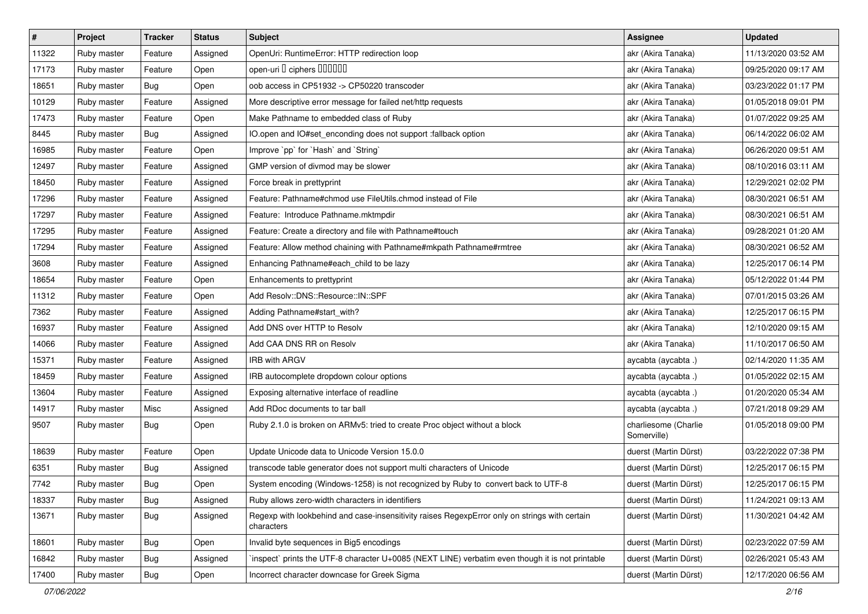| $\sharp$ | Project     | <b>Tracker</b> | <b>Status</b> | <b>Subject</b>                                                                                              | Assignee                            | <b>Updated</b>      |
|----------|-------------|----------------|---------------|-------------------------------------------------------------------------------------------------------------|-------------------------------------|---------------------|
| 11322    | Ruby master | Feature        | Assigned      | OpenUri: RuntimeError: HTTP redirection loop                                                                | akr (Akira Tanaka)                  | 11/13/2020 03:52 AM |
| 17173    | Ruby master | Feature        | Open          | open-uri I ciphers IIIIIII                                                                                  | akr (Akira Tanaka)                  | 09/25/2020 09:17 AM |
| 18651    | Ruby master | Bug            | Open          | oob access in CP51932 -> CP50220 transcoder                                                                 | akr (Akira Tanaka)                  | 03/23/2022 01:17 PM |
| 10129    | Ruby master | Feature        | Assigned      | More descriptive error message for failed net/http requests                                                 | akr (Akira Tanaka)                  | 01/05/2018 09:01 PM |
| 17473    | Ruby master | Feature        | Open          | Make Pathname to embedded class of Ruby                                                                     | akr (Akira Tanaka)                  | 01/07/2022 09:25 AM |
| 8445     | Ruby master | Bug            | Assigned      | IO.open and IO#set_enconding does not support :fallback option                                              | akr (Akira Tanaka)                  | 06/14/2022 06:02 AM |
| 16985    | Ruby master | Feature        | Open          | Improve `pp` for `Hash` and `String`                                                                        | akr (Akira Tanaka)                  | 06/26/2020 09:51 AM |
| 12497    | Ruby master | Feature        | Assigned      | GMP version of divmod may be slower                                                                         | akr (Akira Tanaka)                  | 08/10/2016 03:11 AM |
| 18450    | Ruby master | Feature        | Assigned      | Force break in prettyprint                                                                                  | akr (Akira Tanaka)                  | 12/29/2021 02:02 PM |
| 17296    | Ruby master | Feature        | Assigned      | Feature: Pathname#chmod use FileUtils.chmod instead of File                                                 | akr (Akira Tanaka)                  | 08/30/2021 06:51 AM |
| 17297    | Ruby master | Feature        | Assigned      | Feature: Introduce Pathname.mktmpdir                                                                        | akr (Akira Tanaka)                  | 08/30/2021 06:51 AM |
| 17295    | Ruby master | Feature        | Assigned      | Feature: Create a directory and file with Pathname#touch                                                    | akr (Akira Tanaka)                  | 09/28/2021 01:20 AM |
| 17294    | Ruby master | Feature        | Assigned      | Feature: Allow method chaining with Pathname#mkpath Pathname#rmtree                                         | akr (Akira Tanaka)                  | 08/30/2021 06:52 AM |
| 3608     | Ruby master | Feature        | Assigned      | Enhancing Pathname#each_child to be lazy                                                                    | akr (Akira Tanaka)                  | 12/25/2017 06:14 PM |
| 18654    | Ruby master | Feature        | Open          | Enhancements to prettyprint                                                                                 | akr (Akira Tanaka)                  | 05/12/2022 01:44 PM |
| 11312    | Ruby master | Feature        | Open          | Add Resolv::DNS::Resource::IN::SPF                                                                          | akr (Akira Tanaka)                  | 07/01/2015 03:26 AM |
| 7362     | Ruby master | Feature        | Assigned      | Adding Pathname#start_with?                                                                                 | akr (Akira Tanaka)                  | 12/25/2017 06:15 PM |
| 16937    | Ruby master | Feature        | Assigned      | Add DNS over HTTP to Resolv                                                                                 | akr (Akira Tanaka)                  | 12/10/2020 09:15 AM |
| 14066    | Ruby master | Feature        | Assigned      | Add CAA DNS RR on Resolv                                                                                    | akr (Akira Tanaka)                  | 11/10/2017 06:50 AM |
| 15371    | Ruby master | Feature        | Assigned      | IRB with ARGV                                                                                               | aycabta (aycabta.)                  | 02/14/2020 11:35 AM |
| 18459    | Ruby master | Feature        | Assigned      | IRB autocomplete dropdown colour options                                                                    | aycabta (aycabta.)                  | 01/05/2022 02:15 AM |
| 13604    | Ruby master | Feature        | Assigned      | Exposing alternative interface of readline                                                                  | aycabta (aycabta .)                 | 01/20/2020 05:34 AM |
| 14917    | Ruby master | Misc           | Assigned      | Add RDoc documents to tar ball                                                                              | aycabta (aycabta.)                  | 07/21/2018 09:29 AM |
| 9507     | Ruby master | Bug            | Open          | Ruby 2.1.0 is broken on ARMv5: tried to create Proc object without a block                                  | charliesome (Charlie<br>Somerville) | 01/05/2018 09:00 PM |
| 18639    | Ruby master | Feature        | Open          | Update Unicode data to Unicode Version 15.0.0                                                               | duerst (Martin Dürst)               | 03/22/2022 07:38 PM |
| 6351     | Ruby master | Bug            | Assigned      | transcode table generator does not support multi characters of Unicode                                      | duerst (Martin Dürst)               | 12/25/2017 06:15 PM |
| 7742     | Ruby master | Bug            | Open          | System encoding (Windows-1258) is not recognized by Ruby to convert back to UTF-8                           | duerst (Martin Dürst)               | 12/25/2017 06:15 PM |
| 18337    | Ruby master | Bug            | Assigned      | Ruby allows zero-width characters in identifiers                                                            | duerst (Martin Dürst)               | 11/24/2021 09:13 AM |
| 13671    | Ruby master | <b>Bug</b>     | Assigned      | Regexp with lookbehind and case-insensitivity raises RegexpError only on strings with certain<br>characters | duerst (Martin Dürst)               | 11/30/2021 04:42 AM |
| 18601    | Ruby master | Bug            | Open          | Invalid byte sequences in Big5 encodings                                                                    | duerst (Martin Dürst)               | 02/23/2022 07:59 AM |
| 16842    | Ruby master | <b>Bug</b>     | Assigned      | 'inspect' prints the UTF-8 character U+0085 (NEXT LINE) verbatim even though it is not printable            | duerst (Martin Dürst)               | 02/26/2021 05:43 AM |
| 17400    | Ruby master | <b>Bug</b>     | Open          | Incorrect character downcase for Greek Sigma                                                                | duerst (Martin Dürst)               | 12/17/2020 06:56 AM |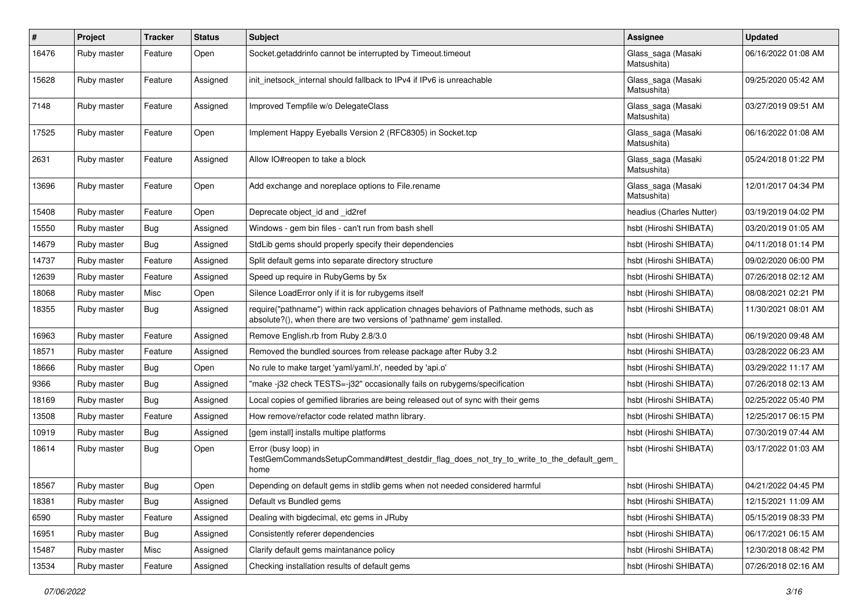| $\pmb{\#}$ | Project     | <b>Tracker</b> | <b>Status</b> | <b>Subject</b>                                                                                                                                                      | <b>Assignee</b>                   | <b>Updated</b>      |
|------------|-------------|----------------|---------------|---------------------------------------------------------------------------------------------------------------------------------------------------------------------|-----------------------------------|---------------------|
| 16476      | Ruby master | Feature        | Open          | Socket.getaddrinfo cannot be interrupted by Timeout.timeout                                                                                                         | Glass_saga (Masaki<br>Matsushita) | 06/16/2022 01:08 AM |
| 15628      | Ruby master | Feature        | Assigned      | init inetsock internal should fallback to IPv4 if IPv6 is unreachable                                                                                               | Glass_saga (Masaki<br>Matsushita) | 09/25/2020 05:42 AM |
| 7148       | Ruby master | Feature        | Assigned      | Improved Tempfile w/o DelegateClass                                                                                                                                 | Glass_saga (Masaki<br>Matsushita) | 03/27/2019 09:51 AM |
| 17525      | Ruby master | Feature        | Open          | Implement Happy Eyeballs Version 2 (RFC8305) in Socket.tcp                                                                                                          | Glass_saga (Masaki<br>Matsushita) | 06/16/2022 01:08 AM |
| 2631       | Ruby master | Feature        | Assigned      | Allow IO#reopen to take a block                                                                                                                                     | Glass_saga (Masaki<br>Matsushita) | 05/24/2018 01:22 PM |
| 13696      | Ruby master | Feature        | Open          | Add exchange and noreplace options to File.rename                                                                                                                   | Glass_saga (Masaki<br>Matsushita) | 12/01/2017 04:34 PM |
| 15408      | Ruby master | Feature        | Open          | Deprecate object_id and _id2ref                                                                                                                                     | headius (Charles Nutter)          | 03/19/2019 04:02 PM |
| 15550      | Ruby master | <b>Bug</b>     | Assigned      | Windows - gem bin files - can't run from bash shell                                                                                                                 | hsbt (Hiroshi SHIBATA)            | 03/20/2019 01:05 AM |
| 14679      | Ruby master | <b>Bug</b>     | Assigned      | StdLib gems should properly specify their dependencies                                                                                                              | hsbt (Hiroshi SHIBATA)            | 04/11/2018 01:14 PM |
| 14737      | Ruby master | Feature        | Assigned      | Split default gems into separate directory structure                                                                                                                | hsbt (Hiroshi SHIBATA)            | 09/02/2020 06:00 PM |
| 12639      | Ruby master | Feature        | Assigned      | Speed up require in RubyGems by 5x                                                                                                                                  | hsbt (Hiroshi SHIBATA)            | 07/26/2018 02:12 AM |
| 18068      | Ruby master | Misc           | Open          | Silence LoadError only if it is for rubygems itself                                                                                                                 | hsbt (Hiroshi SHIBATA)            | 08/08/2021 02:21 PM |
| 18355      | Ruby master | <b>Bug</b>     | Assigned      | require("pathname") within rack application chnages behaviors of Pathname methods, such as<br>absolute?(), when there are two versions of 'pathname' gem installed. | hsbt (Hiroshi SHIBATA)            | 11/30/2021 08:01 AM |
| 16963      | Ruby master | Feature        | Assigned      | Remove English.rb from Ruby 2.8/3.0                                                                                                                                 | hsbt (Hiroshi SHIBATA)            | 06/19/2020 09:48 AM |
| 18571      | Ruby master | Feature        | Assigned      | Removed the bundled sources from release package after Ruby 3.2                                                                                                     | hsbt (Hiroshi SHIBATA)            | 03/28/2022 06:23 AM |
| 18666      | Ruby master | Bug            | Open          | No rule to make target 'yaml/yaml.h', needed by 'api.o'                                                                                                             | hsbt (Hiroshi SHIBATA)            | 03/29/2022 11:17 AM |
| 9366       | Ruby master | <b>Bug</b>     | Assigned      | 'make-j32 check TESTS=-j32" occasionally fails on rubygems/specification                                                                                            | hsbt (Hiroshi SHIBATA)            | 07/26/2018 02:13 AM |
| 18169      | Ruby master | Bug            | Assigned      | Local copies of gemified libraries are being released out of sync with their gems                                                                                   | hsbt (Hiroshi SHIBATA)            | 02/25/2022 05:40 PM |
| 13508      | Ruby master | Feature        | Assigned      | How remove/refactor code related mathn library.                                                                                                                     | hsbt (Hiroshi SHIBATA)            | 12/25/2017 06:15 PM |
| 10919      | Ruby master | <b>Bug</b>     | Assigned      | [gem install] installs multipe platforms                                                                                                                            | hsbt (Hiroshi SHIBATA)            | 07/30/2019 07:44 AM |
| 18614      | Ruby master | Bug            | Open          | Error (busy loop) in<br>TestGemCommandsSetupCommand#test_destdir_flag_does_not_try_to_write_to_the_default_gem_<br>home                                             | hsbt (Hiroshi SHIBATA)            | 03/17/2022 01:03 AM |
| 18567      | Ruby master | Bug            | Open          | Depending on default gems in stdlib gems when not needed considered harmful                                                                                         | hsbt (Hiroshi SHIBATA)            | 04/21/2022 04:45 PM |
| 18381      | Ruby master | Bug            | Assigned      | Default vs Bundled gems                                                                                                                                             | hsbt (Hiroshi SHIBATA)            | 12/15/2021 11:09 AM |
| 6590       | Ruby master | Feature        | Assigned      | Dealing with bigdecimal, etc gems in JRuby                                                                                                                          | hsbt (Hiroshi SHIBATA)            | 05/15/2019 08:33 PM |
| 16951      | Ruby master | Bug            | Assigned      | Consistently referer dependencies                                                                                                                                   | hsbt (Hiroshi SHIBATA)            | 06/17/2021 06:15 AM |
| 15487      | Ruby master | Misc           | Assigned      | Clarify default gems maintanance policy                                                                                                                             | hsbt (Hiroshi SHIBATA)            | 12/30/2018 08:42 PM |
| 13534      | Ruby master | Feature        | Assigned      | Checking installation results of default gems                                                                                                                       | hsbt (Hiroshi SHIBATA)            | 07/26/2018 02:16 AM |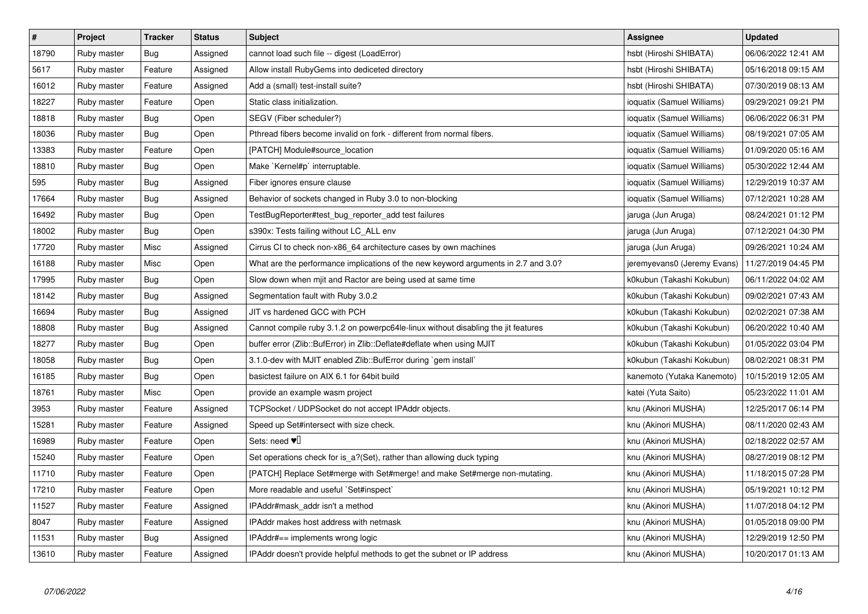| $\pmb{\#}$ | <b>Project</b> | <b>Tracker</b> | <b>Status</b> | <b>Subject</b>                                                                     | <b>Assignee</b>             | <b>Updated</b>      |
|------------|----------------|----------------|---------------|------------------------------------------------------------------------------------|-----------------------------|---------------------|
| 18790      | Ruby master    | Bug            | Assigned      | cannot load such file -- digest (LoadError)                                        | hsbt (Hiroshi SHIBATA)      | 06/06/2022 12:41 AM |
| 5617       | Ruby master    | Feature        | Assigned      | Allow install RubyGems into dediceted directory                                    | hsbt (Hiroshi SHIBATA)      | 05/16/2018 09:15 AM |
| 16012      | Ruby master    | Feature        | Assigned      | Add a (small) test-install suite?                                                  | hsbt (Hiroshi SHIBATA)      | 07/30/2019 08:13 AM |
| 18227      | Ruby master    | Feature        | Open          | Static class initialization.                                                       | ioquatix (Samuel Williams)  | 09/29/2021 09:21 PM |
| 18818      | Ruby master    | Bug            | Open          | SEGV (Fiber scheduler?)                                                            | ioquatix (Samuel Williams)  | 06/06/2022 06:31 PM |
| 18036      | Ruby master    | Bug            | Open          | Pthread fibers become invalid on fork - different from normal fibers.              | ioquatix (Samuel Williams)  | 08/19/2021 07:05 AM |
| 13383      | Ruby master    | Feature        | Open          | [PATCH] Module#source_location                                                     | ioquatix (Samuel Williams)  | 01/09/2020 05:16 AM |
| 18810      | Ruby master    | Bug            | Open          | Make `Kernel#p` interruptable.                                                     | ioquatix (Samuel Williams)  | 05/30/2022 12:44 AM |
| 595        | Ruby master    | Bug            | Assigned      | Fiber ignores ensure clause                                                        | ioquatix (Samuel Williams)  | 12/29/2019 10:37 AM |
| 17664      | Ruby master    | Bug            | Assigned      | Behavior of sockets changed in Ruby 3.0 to non-blocking                            | ioquatix (Samuel Williams)  | 07/12/2021 10:28 AM |
| 16492      | Ruby master    | Bug            | Open          | TestBugReporter#test_bug_reporter_add test failures                                | jaruga (Jun Aruga)          | 08/24/2021 01:12 PM |
| 18002      | Ruby master    | <b>Bug</b>     | Open          | s390x: Tests failing without LC_ALL env                                            | jaruga (Jun Aruga)          | 07/12/2021 04:30 PM |
| 17720      | Ruby master    | Misc           | Assigned      | Cirrus CI to check non-x86 64 architecture cases by own machines                   | jaruga (Jun Aruga)          | 09/26/2021 10:24 AM |
| 16188      | Ruby master    | Misc           | Open          | What are the performance implications of the new keyword arguments in 2.7 and 3.0? | jeremyevans0 (Jeremy Evans) | 11/27/2019 04:45 PM |
| 17995      | Ruby master    | Bug            | Open          | Slow down when mjit and Ractor are being used at same time                         | k0kubun (Takashi Kokubun)   | 06/11/2022 04:02 AM |
| 18142      | Ruby master    | Bug            | Assigned      | Segmentation fault with Ruby 3.0.2                                                 | k0kubun (Takashi Kokubun)   | 09/02/2021 07:43 AM |
| 16694      | Ruby master    | Bug            | Assigned      | JIT vs hardened GCC with PCH                                                       | k0kubun (Takashi Kokubun)   | 02/02/2021 07:38 AM |
| 18808      | Ruby master    | Bug            | Assigned      | Cannot compile ruby 3.1.2 on powerpc64le-linux without disabling the jit features  | k0kubun (Takashi Kokubun)   | 06/20/2022 10:40 AM |
| 18277      | Ruby master    | <b>Bug</b>     | Open          | buffer error (Zlib::BufError) in Zlib::Deflate#deflate when using MJIT             | k0kubun (Takashi Kokubun)   | 01/05/2022 03:04 PM |
| 18058      | Ruby master    | <b>Bug</b>     | Open          | 3.1.0-dev with MJIT enabled Zlib::BufError during `gem install`                    | k0kubun (Takashi Kokubun)   | 08/02/2021 08:31 PM |
| 16185      | Ruby master    | Bug            | Open          | basictest failure on AIX 6.1 for 64bit build                                       | kanemoto (Yutaka Kanemoto)  | 10/15/2019 12:05 AM |
| 18761      | Ruby master    | Misc           | Open          | provide an example wasm project                                                    | katei (Yuta Saito)          | 05/23/2022 11:01 AM |
| 3953       | Ruby master    | Feature        | Assigned      | TCPSocket / UDPSocket do not accept IPAddr objects.                                | knu (Akinori MUSHA)         | 12/25/2017 06:14 PM |
| 15281      | Ruby master    | Feature        | Assigned      | Speed up Set#intersect with size check.                                            | knu (Akinori MUSHA)         | 08/11/2020 02:43 AM |
| 16989      | Ruby master    | Feature        | Open          | Sets: need $\Psi$                                                                  | knu (Akinori MUSHA)         | 02/18/2022 02:57 AM |
| 15240      | Ruby master    | Feature        | Open          | Set operations check for is a?(Set), rather than allowing duck typing              | knu (Akinori MUSHA)         | 08/27/2019 08:12 PM |
| 11710      | Ruby master    | Feature        | Open          | [PATCH] Replace Set#merge with Set#merge! and make Set#merge non-mutating.         | knu (Akinori MUSHA)         | 11/18/2015 07:28 PM |
| 17210      | Ruby master    | Feature        | Open          | More readable and useful `Set#inspect`                                             | knu (Akinori MUSHA)         | 05/19/2021 10:12 PM |
| 11527      | Ruby master    | Feature        | Assigned      | IPAddr#mask addr isn't a method                                                    | knu (Akinori MUSHA)         | 11/07/2018 04:12 PM |
| 8047       | Ruby master    | Feature        | Assigned      | IPAddr makes host address with netmask                                             | knu (Akinori MUSHA)         | 01/05/2018 09:00 PM |
| 11531      | Ruby master    | Bug            | Assigned      | IPAddr#== implements wrong logic                                                   | knu (Akinori MUSHA)         | 12/29/2019 12:50 PM |
| 13610      | Ruby master    | Feature        | Assigned      | IPAddr doesn't provide helpful methods to get the subnet or IP address             | knu (Akinori MUSHA)         | 10/20/2017 01:13 AM |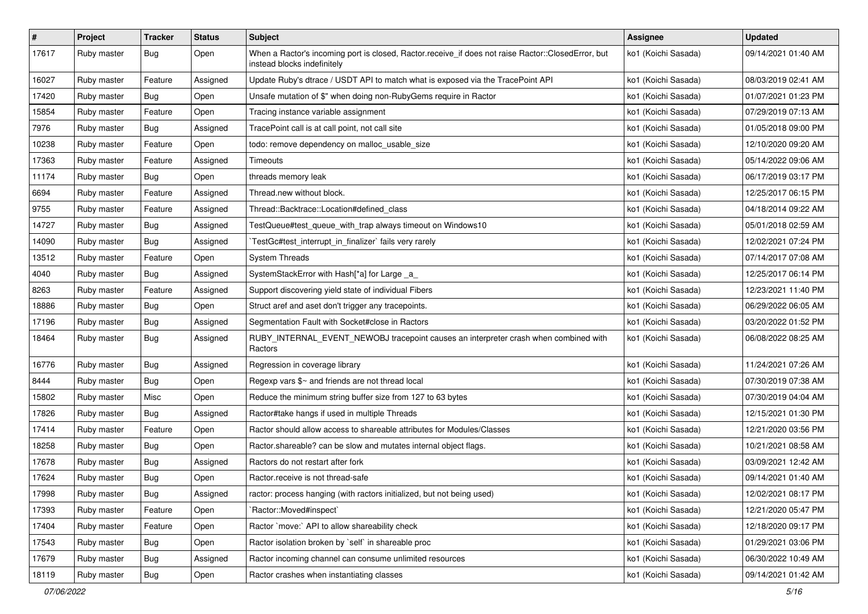| $\sharp$ | Project     | <b>Tracker</b> | <b>Status</b> | Subject                                                                                                                           | Assignee            | <b>Updated</b>      |
|----------|-------------|----------------|---------------|-----------------------------------------------------------------------------------------------------------------------------------|---------------------|---------------------|
| 17617    | Ruby master | Bug            | Open          | When a Ractor's incoming port is closed, Ractor.receive_if does not raise Ractor::ClosedError, but<br>instead blocks indefinitely | ko1 (Koichi Sasada) | 09/14/2021 01:40 AM |
| 16027    | Ruby master | Feature        | Assigned      | Update Ruby's dtrace / USDT API to match what is exposed via the TracePoint API                                                   | ko1 (Koichi Sasada) | 08/03/2019 02:41 AM |
| 17420    | Ruby master | Bug            | Open          | Unsafe mutation of \$" when doing non-RubyGems require in Ractor                                                                  | ko1 (Koichi Sasada) | 01/07/2021 01:23 PM |
| 15854    | Ruby master | Feature        | Open          | Tracing instance variable assignment                                                                                              | ko1 (Koichi Sasada) | 07/29/2019 07:13 AM |
| 7976     | Ruby master | Bug            | Assigned      | TracePoint call is at call point, not call site                                                                                   | ko1 (Koichi Sasada) | 01/05/2018 09:00 PM |
| 10238    | Ruby master | Feature        | Open          | todo: remove dependency on malloc_usable_size                                                                                     | ko1 (Koichi Sasada) | 12/10/2020 09:20 AM |
| 17363    | Ruby master | Feature        | Assigned      | Timeouts                                                                                                                          | ko1 (Koichi Sasada) | 05/14/2022 09:06 AM |
| 11174    | Ruby master | Bug            | Open          | threads memory leak                                                                                                               | ko1 (Koichi Sasada) | 06/17/2019 03:17 PM |
| 6694     | Ruby master | Feature        | Assigned      | Thread.new without block.                                                                                                         | ko1 (Koichi Sasada) | 12/25/2017 06:15 PM |
| 9755     | Ruby master | Feature        | Assigned      | Thread::Backtrace::Location#defined class                                                                                         | ko1 (Koichi Sasada) | 04/18/2014 09:22 AM |
| 14727    | Ruby master | Bug            | Assigned      | TestQueue#test_queue_with_trap always timeout on Windows10                                                                        | ko1 (Koichi Sasada) | 05/01/2018 02:59 AM |
| 14090    | Ruby master | Bug            | Assigned      | TestGc#test_interrupt_in_finalizer` fails very rarely                                                                             | ko1 (Koichi Sasada) | 12/02/2021 07:24 PM |
| 13512    | Ruby master | Feature        | Open          | <b>System Threads</b>                                                                                                             | ko1 (Koichi Sasada) | 07/14/2017 07:08 AM |
| 4040     | Ruby master | Bug            | Assigned      | SystemStackError with Hash[*a] for Large _a_                                                                                      | ko1 (Koichi Sasada) | 12/25/2017 06:14 PM |
| 8263     | Ruby master | Feature        | Assigned      | Support discovering yield state of individual Fibers                                                                              | ko1 (Koichi Sasada) | 12/23/2021 11:40 PM |
| 18886    | Ruby master | Bug            | Open          | Struct aref and aset don't trigger any tracepoints.                                                                               | ko1 (Koichi Sasada) | 06/29/2022 06:05 AM |
| 17196    | Ruby master | Bug            | Assigned      | Segmentation Fault with Socket#close in Ractors                                                                                   | ko1 (Koichi Sasada) | 03/20/2022 01:52 PM |
| 18464    | Ruby master | Bug            | Assigned      | RUBY_INTERNAL_EVENT_NEWOBJ tracepoint causes an interpreter crash when combined with<br>Ractors                                   | ko1 (Koichi Sasada) | 06/08/2022 08:25 AM |
| 16776    | Ruby master | <b>Bug</b>     | Assigned      | Regression in coverage library                                                                                                    | ko1 (Koichi Sasada) | 11/24/2021 07:26 AM |
| 8444     | Ruby master | Bug            | Open          | Regexp vars $\frac{6}{5}$ and friends are not thread local                                                                        | ko1 (Koichi Sasada) | 07/30/2019 07:38 AM |
| 15802    | Ruby master | Misc           | Open          | Reduce the minimum string buffer size from 127 to 63 bytes                                                                        | ko1 (Koichi Sasada) | 07/30/2019 04:04 AM |
| 17826    | Ruby master | Bug            | Assigned      | Ractor#take hangs if used in multiple Threads                                                                                     | ko1 (Koichi Sasada) | 12/15/2021 01:30 PM |
| 17414    | Ruby master | Feature        | Open          | Ractor should allow access to shareable attributes for Modules/Classes                                                            | ko1 (Koichi Sasada) | 12/21/2020 03:56 PM |
| 18258    | Ruby master | <b>Bug</b>     | Open          | Ractor shareable? can be slow and mutates internal object flags.                                                                  | ko1 (Koichi Sasada) | 10/21/2021 08:58 AM |
| 17678    | Ruby master | Bug            | Assigned      | Ractors do not restart after fork                                                                                                 | ko1 (Koichi Sasada) | 03/09/2021 12:42 AM |
| 17624    | Ruby master | <b>Bug</b>     | Open          | Ractor.receive is not thread-safe                                                                                                 | ko1 (Koichi Sasada) | 09/14/2021 01:40 AM |
| 17998    | Ruby master | Bug            | Assigned      | ractor: process hanging (with ractors initialized, but not being used)                                                            | ko1 (Koichi Sasada) | 12/02/2021 08:17 PM |
| 17393    | Ruby master | Feature        | Open          | 'Ractor::Moved#inspect'                                                                                                           | ko1 (Koichi Sasada) | 12/21/2020 05:47 PM |
| 17404    | Ruby master | Feature        | Open          | Ractor `move:` API to allow shareability check                                                                                    | ko1 (Koichi Sasada) | 12/18/2020 09:17 PM |
| 17543    | Ruby master | Bug            | Open          | Ractor isolation broken by `self` in shareable proc                                                                               | ko1 (Koichi Sasada) | 01/29/2021 03:06 PM |
| 17679    | Ruby master | Bug            | Assigned      | Ractor incoming channel can consume unlimited resources                                                                           | ko1 (Koichi Sasada) | 06/30/2022 10:49 AM |
| 18119    | Ruby master | Bug            | Open          | Ractor crashes when instantiating classes                                                                                         | ko1 (Koichi Sasada) | 09/14/2021 01:42 AM |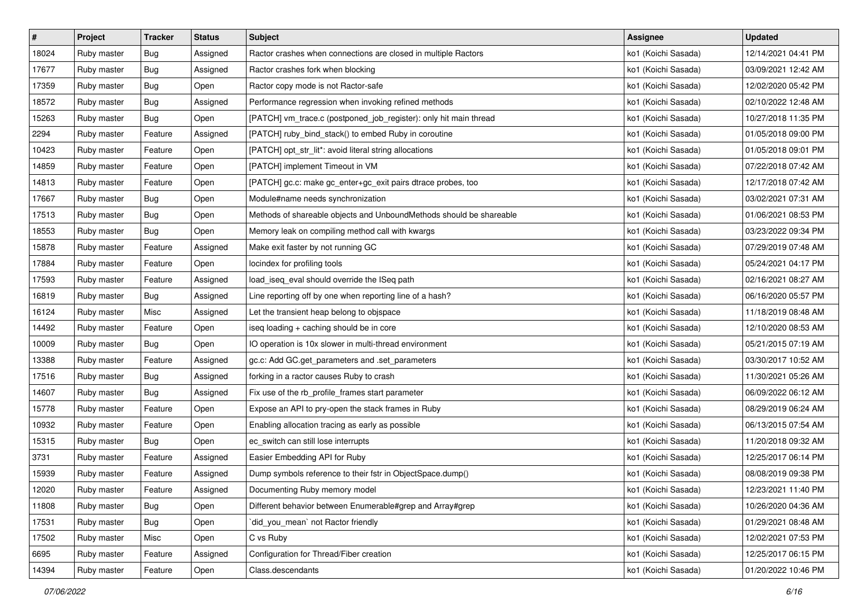| #     | Project     | <b>Tracker</b> | <b>Status</b> | <b>Subject</b>                                                      | Assignee            | <b>Updated</b>      |
|-------|-------------|----------------|---------------|---------------------------------------------------------------------|---------------------|---------------------|
| 18024 | Ruby master | Bug            | Assigned      | Ractor crashes when connections are closed in multiple Ractors      | ko1 (Koichi Sasada) | 12/14/2021 04:41 PM |
| 17677 | Ruby master | Bug            | Assigned      | Ractor crashes fork when blocking                                   | ko1 (Koichi Sasada) | 03/09/2021 12:42 AM |
| 17359 | Ruby master | Bug            | Open          | Ractor copy mode is not Ractor-safe                                 | ko1 (Koichi Sasada) | 12/02/2020 05:42 PM |
| 18572 | Ruby master | Bug            | Assigned      | Performance regression when invoking refined methods                | ko1 (Koichi Sasada) | 02/10/2022 12:48 AM |
| 15263 | Ruby master | Bug            | Open          | [PATCH] vm_trace.c (postponed_job_register): only hit main thread   | ko1 (Koichi Sasada) | 10/27/2018 11:35 PM |
| 2294  | Ruby master | Feature        | Assigned      | [PATCH] ruby_bind_stack() to embed Ruby in coroutine                | ko1 (Koichi Sasada) | 01/05/2018 09:00 PM |
| 10423 | Ruby master | Feature        | Open          | [PATCH] opt_str_lit*: avoid literal string allocations              | ko1 (Koichi Sasada) | 01/05/2018 09:01 PM |
| 14859 | Ruby master | Feature        | Open          | [PATCH] implement Timeout in VM                                     | ko1 (Koichi Sasada) | 07/22/2018 07:42 AM |
| 14813 | Ruby master | Feature        | Open          | [PATCH] gc.c: make gc_enter+gc_exit pairs dtrace probes, too        | ko1 (Koichi Sasada) | 12/17/2018 07:42 AM |
| 17667 | Ruby master | Bug            | Open          | Module#name needs synchronization                                   | ko1 (Koichi Sasada) | 03/02/2021 07:31 AM |
| 17513 | Ruby master | Bug            | Open          | Methods of shareable objects and UnboundMethods should be shareable | ko1 (Koichi Sasada) | 01/06/2021 08:53 PM |
| 18553 | Ruby master | Bug            | Open          | Memory leak on compiling method call with kwargs                    | ko1 (Koichi Sasada) | 03/23/2022 09:34 PM |
| 15878 | Ruby master | Feature        | Assigned      | Make exit faster by not running GC                                  | ko1 (Koichi Sasada) | 07/29/2019 07:48 AM |
| 17884 | Ruby master | Feature        | Open          | locindex for profiling tools                                        | ko1 (Koichi Sasada) | 05/24/2021 04:17 PM |
| 17593 | Ruby master | Feature        | Assigned      | load_iseq_eval should override the ISeq path                        | ko1 (Koichi Sasada) | 02/16/2021 08:27 AM |
| 16819 | Ruby master | Bug            | Assigned      | Line reporting off by one when reporting line of a hash?            | ko1 (Koichi Sasada) | 06/16/2020 05:57 PM |
| 16124 | Ruby master | Misc           | Assigned      | Let the transient heap belong to objspace                           | ko1 (Koichi Sasada) | 11/18/2019 08:48 AM |
| 14492 | Ruby master | Feature        | Open          | iseq loading + caching should be in core                            | ko1 (Koichi Sasada) | 12/10/2020 08:53 AM |
| 10009 | Ruby master | Bug            | Open          | IO operation is 10x slower in multi-thread environment              | ko1 (Koichi Sasada) | 05/21/2015 07:19 AM |
| 13388 | Ruby master | Feature        | Assigned      | gc.c: Add GC.get_parameters and .set_parameters                     | ko1 (Koichi Sasada) | 03/30/2017 10:52 AM |
| 17516 | Ruby master | Bug            | Assigned      | forking in a ractor causes Ruby to crash                            | ko1 (Koichi Sasada) | 11/30/2021 05:26 AM |
| 14607 | Ruby master | Bug            | Assigned      | Fix use of the rb_profile_frames start parameter                    | ko1 (Koichi Sasada) | 06/09/2022 06:12 AM |
| 15778 | Ruby master | Feature        | Open          | Expose an API to pry-open the stack frames in Ruby                  | ko1 (Koichi Sasada) | 08/29/2019 06:24 AM |
| 10932 | Ruby master | Feature        | Open          | Enabling allocation tracing as early as possible                    | ko1 (Koichi Sasada) | 06/13/2015 07:54 AM |
| 15315 | Ruby master | Bug            | Open          | ec_switch can still lose interrupts                                 | ko1 (Koichi Sasada) | 11/20/2018 09:32 AM |
| 3731  | Ruby master | Feature        | Assigned      | Easier Embedding API for Ruby                                       | ko1 (Koichi Sasada) | 12/25/2017 06:14 PM |
| 15939 | Ruby master | Feature        | Assigned      | Dump symbols reference to their fstr in ObjectSpace.dump()          | ko1 (Koichi Sasada) | 08/08/2019 09:38 PM |
| 12020 | Ruby master | Feature        | Assigned      | Documenting Ruby memory model                                       | ko1 (Koichi Sasada) | 12/23/2021 11:40 PM |
| 11808 | Ruby master | Bug            | Open          | Different behavior between Enumerable#grep and Array#grep           | ko1 (Koichi Sasada) | 10/26/2020 04:36 AM |
| 17531 | Ruby master | Bug            | Open          | did_you_mean` not Ractor friendly                                   | ko1 (Koichi Sasada) | 01/29/2021 08:48 AM |
| 17502 | Ruby master | Misc           | Open          | C vs Ruby                                                           | ko1 (Koichi Sasada) | 12/02/2021 07:53 PM |
| 6695  | Ruby master | Feature        | Assigned      | Configuration for Thread/Fiber creation                             | ko1 (Koichi Sasada) | 12/25/2017 06:15 PM |
| 14394 | Ruby master | Feature        | Open          | Class.descendants                                                   | ko1 (Koichi Sasada) | 01/20/2022 10:46 PM |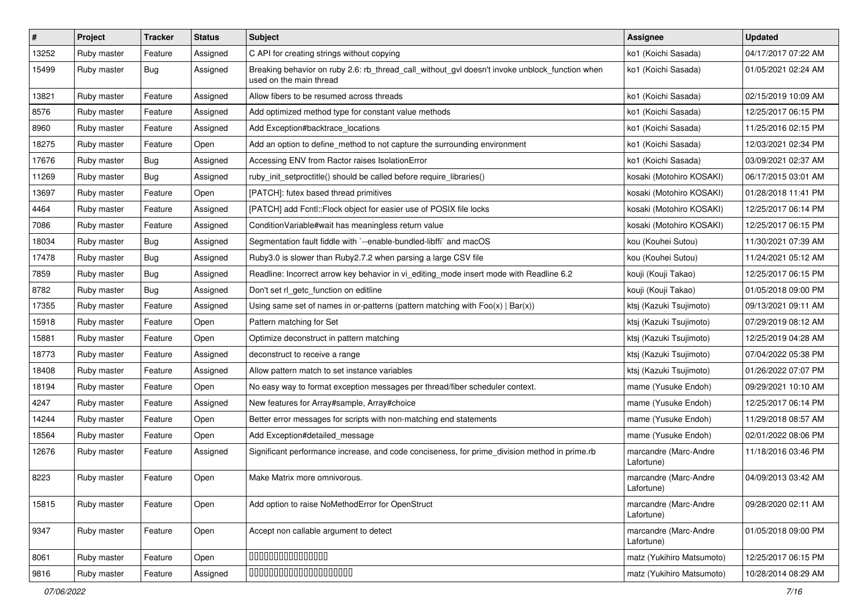| #     | Project     | <b>Tracker</b> | <b>Status</b> | <b>Subject</b>                                                                                                            | <b>Assignee</b>                     | <b>Updated</b>      |
|-------|-------------|----------------|---------------|---------------------------------------------------------------------------------------------------------------------------|-------------------------------------|---------------------|
| 13252 | Ruby master | Feature        | Assigned      | C API for creating strings without copying                                                                                | ko1 (Koichi Sasada)                 | 04/17/2017 07:22 AM |
| 15499 | Ruby master | <b>Bug</b>     | Assigned      | Breaking behavior on ruby 2.6: rb_thread_call_without_gvl doesn't invoke unblock_function when<br>used on the main thread | ko1 (Koichi Sasada)                 | 01/05/2021 02:24 AM |
| 13821 | Ruby master | Feature        | Assigned      | Allow fibers to be resumed across threads                                                                                 | ko1 (Koichi Sasada)                 | 02/15/2019 10:09 AM |
| 8576  | Ruby master | Feature        | Assigned      | Add optimized method type for constant value methods                                                                      | ko1 (Koichi Sasada)                 | 12/25/2017 06:15 PM |
| 8960  | Ruby master | Feature        | Assigned      | Add Exception#backtrace locations                                                                                         | ko1 (Koichi Sasada)                 | 11/25/2016 02:15 PM |
| 18275 | Ruby master | Feature        | Open          | Add an option to define_method to not capture the surrounding environment                                                 | ko1 (Koichi Sasada)                 | 12/03/2021 02:34 PM |
| 17676 | Ruby master | Bug            | Assigned      | Accessing ENV from Ractor raises IsolationError                                                                           | ko1 (Koichi Sasada)                 | 03/09/2021 02:37 AM |
| 11269 | Ruby master | <b>Bug</b>     | Assigned      | ruby init setproctitle() should be called before require libraries()                                                      | kosaki (Motohiro KOSAKI)            | 06/17/2015 03:01 AM |
| 13697 | Ruby master | Feature        | Open          | [PATCH]: futex based thread primitives                                                                                    | kosaki (Motohiro KOSAKI)            | 01/28/2018 11:41 PM |
| 4464  | Ruby master | Feature        | Assigned      | [PATCH] add Fcntl:: Flock object for easier use of POSIX file locks                                                       | kosaki (Motohiro KOSAKI)            | 12/25/2017 06:14 PM |
| 7086  | Ruby master | Feature        | Assigned      | Condition Variable#wait has meaningless return value                                                                      | kosaki (Motohiro KOSAKI)            | 12/25/2017 06:15 PM |
| 18034 | Ruby master | Bug            | Assigned      | Segmentation fault fiddle with `--enable-bundled-libffi` and macOS                                                        | kou (Kouhei Sutou)                  | 11/30/2021 07:39 AM |
| 17478 | Ruby master | Bug            | Assigned      | Ruby3.0 is slower than Ruby2.7.2 when parsing a large CSV file                                                            | kou (Kouhei Sutou)                  | 11/24/2021 05:12 AM |
| 7859  | Ruby master | Bug            | Assigned      | Readline: Incorrect arrow key behavior in vi_editing_mode insert mode with Readline 6.2                                   | kouji (Kouji Takao)                 | 12/25/2017 06:15 PM |
| 8782  | Ruby master | Bug            | Assigned      | Don't set rl_getc_function on editline                                                                                    | kouji (Kouji Takao)                 | 01/05/2018 09:00 PM |
| 17355 | Ruby master | Feature        | Assigned      | Using same set of names in or-patterns (pattern matching with $Foo(x)   Bar(x)$ )                                         | ktsj (Kazuki Tsujimoto)             | 09/13/2021 09:11 AM |
| 15918 | Ruby master | Feature        | Open          | Pattern matching for Set                                                                                                  | ktsj (Kazuki Tsujimoto)             | 07/29/2019 08:12 AM |
| 15881 | Ruby master | Feature        | Open          | Optimize deconstruct in pattern matching                                                                                  | ktsj (Kazuki Tsujimoto)             | 12/25/2019 04:28 AM |
| 18773 | Ruby master | Feature        | Assigned      | deconstruct to receive a range                                                                                            | ktsj (Kazuki Tsujimoto)             | 07/04/2022 05:38 PM |
| 18408 | Ruby master | Feature        | Assigned      | Allow pattern match to set instance variables                                                                             | ktsj (Kazuki Tsujimoto)             | 01/26/2022 07:07 PM |
| 18194 | Ruby master | Feature        | Open          | No easy way to format exception messages per thread/fiber scheduler context.                                              | mame (Yusuke Endoh)                 | 09/29/2021 10:10 AM |
| 4247  | Ruby master | Feature        | Assigned      | New features for Array#sample, Array#choice                                                                               | mame (Yusuke Endoh)                 | 12/25/2017 06:14 PM |
| 14244 | Ruby master | Feature        | Open          | Better error messages for scripts with non-matching end statements                                                        | mame (Yusuke Endoh)                 | 11/29/2018 08:57 AM |
| 18564 | Ruby master | Feature        | Open          | Add Exception#detailed_message                                                                                            | mame (Yusuke Endoh)                 | 02/01/2022 08:06 PM |
| 12676 | Ruby master | Feature        | Assigned      | Significant performance increase, and code conciseness, for prime_division method in prime.rb                             | marcandre (Marc-Andre<br>Lafortune) | 11/18/2016 03:46 PM |
| 8223  | Ruby master | Feature        | Open          | Make Matrix more omnivorous.                                                                                              | marcandre (Marc-Andre<br>Lafortune) | 04/09/2013 03:42 AM |
| 15815 | Ruby master | Feature        | Open          | Add option to raise NoMethodError for OpenStruct                                                                          | marcandre (Marc-Andre<br>Lafortune) | 09/28/2020 02:11 AM |
| 9347  | Ruby master | Feature        | Open          | Accept non callable argument to detect                                                                                    | marcandre (Marc-Andre<br>Lafortune) | 01/05/2018 09:00 PM |
| 8061  | Ruby master | Feature        | Open          | 00000000000000                                                                                                            | matz (Yukihiro Matsumoto)           | 12/25/2017 06:15 PM |
| 9816  | Ruby master | Feature        | Assigned      | 00000000000000000000                                                                                                      | matz (Yukihiro Matsumoto)           | 10/28/2014 08:29 AM |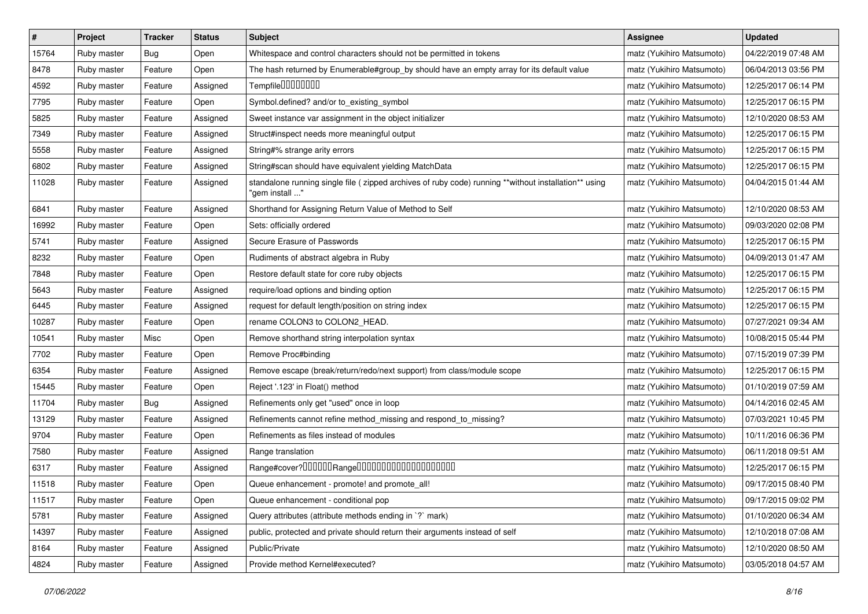| $\pmb{\#}$ | Project     | <b>Tracker</b> | <b>Status</b> | Subject                                                                                                                | <b>Assignee</b>           | <b>Updated</b>      |
|------------|-------------|----------------|---------------|------------------------------------------------------------------------------------------------------------------------|---------------------------|---------------------|
| 15764      | Ruby master | <b>Bug</b>     | Open          | Whitespace and control characters should not be permitted in tokens                                                    | matz (Yukihiro Matsumoto) | 04/22/2019 07:48 AM |
| 8478       | Ruby master | Feature        | Open          | The hash returned by Enumerable#group_by should have an empty array for its default value                              | matz (Yukihiro Matsumoto) | 06/04/2013 03:56 PM |
| 4592       | Ruby master | Feature        | Assigned      | Tempfile0000000                                                                                                        | matz (Yukihiro Matsumoto) | 12/25/2017 06:14 PM |
| 7795       | Ruby master | Feature        | Open          | Symbol.defined? and/or to_existing_symbol                                                                              | matz (Yukihiro Matsumoto) | 12/25/2017 06:15 PM |
| 5825       | Ruby master | Feature        | Assigned      | Sweet instance var assignment in the object initializer                                                                | matz (Yukihiro Matsumoto) | 12/10/2020 08:53 AM |
| 7349       | Ruby master | Feature        | Assigned      | Struct#inspect needs more meaningful output                                                                            | matz (Yukihiro Matsumoto) | 12/25/2017 06:15 PM |
| 5558       | Ruby master | Feature        | Assigned      | String#% strange arity errors                                                                                          | matz (Yukihiro Matsumoto) | 12/25/2017 06:15 PM |
| 6802       | Ruby master | Feature        | Assigned      | String#scan should have equivalent yielding MatchData                                                                  | matz (Yukihiro Matsumoto) | 12/25/2017 06:15 PM |
| 11028      | Ruby master | Feature        | Assigned      | standalone running single file (zipped archives of ruby code) running **without installation** using<br>"gem install " | matz (Yukihiro Matsumoto) | 04/04/2015 01:44 AM |
| 6841       | Ruby master | Feature        | Assigned      | Shorthand for Assigning Return Value of Method to Self                                                                 | matz (Yukihiro Matsumoto) | 12/10/2020 08:53 AM |
| 16992      | Ruby master | Feature        | Open          | Sets: officially ordered                                                                                               | matz (Yukihiro Matsumoto) | 09/03/2020 02:08 PM |
| 5741       | Ruby master | Feature        | Assigned      | Secure Erasure of Passwords                                                                                            | matz (Yukihiro Matsumoto) | 12/25/2017 06:15 PM |
| 8232       | Ruby master | Feature        | Open          | Rudiments of abstract algebra in Ruby                                                                                  | matz (Yukihiro Matsumoto) | 04/09/2013 01:47 AM |
| 7848       | Ruby master | Feature        | Open          | Restore default state for core ruby objects                                                                            | matz (Yukihiro Matsumoto) | 12/25/2017 06:15 PM |
| 5643       | Ruby master | Feature        | Assigned      | require/load options and binding option                                                                                | matz (Yukihiro Matsumoto) | 12/25/2017 06:15 PM |
| 6445       | Ruby master | Feature        | Assigned      | request for default length/position on string index                                                                    | matz (Yukihiro Matsumoto) | 12/25/2017 06:15 PM |
| 10287      | Ruby master | Feature        | Open          | rename COLON3 to COLON2_HEAD.                                                                                          | matz (Yukihiro Matsumoto) | 07/27/2021 09:34 AM |
| 10541      | Ruby master | Misc           | Open          | Remove shorthand string interpolation syntax                                                                           | matz (Yukihiro Matsumoto) | 10/08/2015 05:44 PM |
| 7702       | Ruby master | Feature        | Open          | Remove Proc#binding                                                                                                    | matz (Yukihiro Matsumoto) | 07/15/2019 07:39 PM |
| 6354       | Ruby master | Feature        | Assigned      | Remove escape (break/return/redo/next support) from class/module scope                                                 | matz (Yukihiro Matsumoto) | 12/25/2017 06:15 PM |
| 15445      | Ruby master | Feature        | Open          | Reject '.123' in Float() method                                                                                        | matz (Yukihiro Matsumoto) | 01/10/2019 07:59 AM |
| 11704      | Ruby master | Bug            | Assigned      | Refinements only get "used" once in loop                                                                               | matz (Yukihiro Matsumoto) | 04/14/2016 02:45 AM |
| 13129      | Ruby master | Feature        | Assigned      | Refinements cannot refine method_missing and respond_to_missing?                                                       | matz (Yukihiro Matsumoto) | 07/03/2021 10:45 PM |
| 9704       | Ruby master | Feature        | Open          | Refinements as files instead of modules                                                                                | matz (Yukihiro Matsumoto) | 10/11/2016 06:36 PM |
| 7580       | Ruby master | Feature        | Assigned      | Range translation                                                                                                      | matz (Yukihiro Matsumoto) | 06/11/2018 09:51 AM |
| 6317       | Ruby master | Feature        | Assigned      | Range#cover?000000Range00000000000000000000                                                                            | matz (Yukihiro Matsumoto) | 12/25/2017 06:15 PM |
| 11518      | Ruby master | Feature        | Open          | Queue enhancement - promote! and promote_all!                                                                          | matz (Yukihiro Matsumoto) | 09/17/2015 08:40 PM |
| 11517      | Ruby master | Feature        | Open          | Queue enhancement - conditional pop                                                                                    | matz (Yukihiro Matsumoto) | 09/17/2015 09:02 PM |
| 5781       | Ruby master | Feature        | Assigned      | Query attributes (attribute methods ending in `?` mark)                                                                | matz (Yukihiro Matsumoto) | 01/10/2020 06:34 AM |
| 14397      | Ruby master | Feature        | Assigned      | public, protected and private should return their arguments instead of self                                            | matz (Yukihiro Matsumoto) | 12/10/2018 07:08 AM |
| 8164       | Ruby master | Feature        | Assigned      | Public/Private                                                                                                         | matz (Yukihiro Matsumoto) | 12/10/2020 08:50 AM |
| 4824       | Ruby master | Feature        | Assigned      | Provide method Kernel#executed?                                                                                        | matz (Yukihiro Matsumoto) | 03/05/2018 04:57 AM |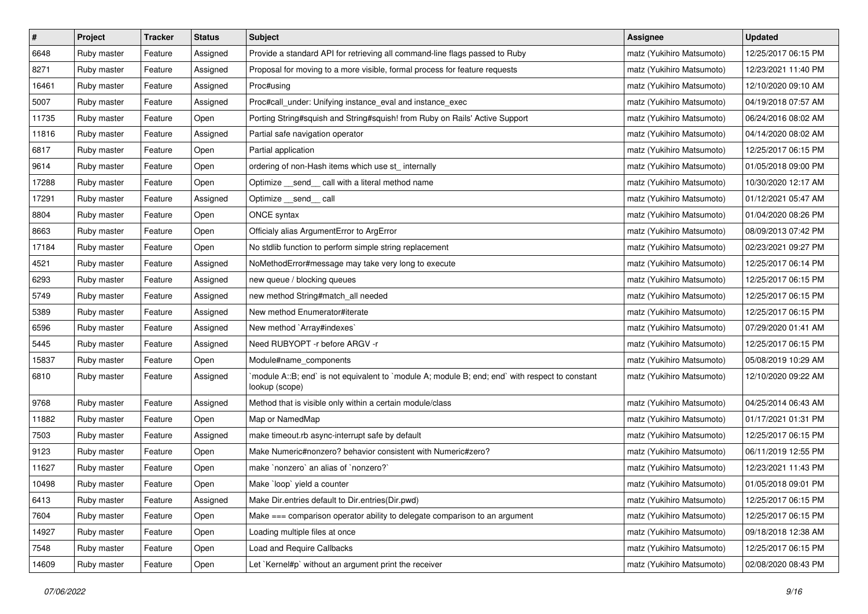| $\pmb{\#}$ | Project     | <b>Tracker</b> | <b>Status</b> | Subject                                                                                                          | Assignee                  | <b>Updated</b>      |
|------------|-------------|----------------|---------------|------------------------------------------------------------------------------------------------------------------|---------------------------|---------------------|
| 6648       | Ruby master | Feature        | Assigned      | Provide a standard API for retrieving all command-line flags passed to Ruby                                      | matz (Yukihiro Matsumoto) | 12/25/2017 06:15 PM |
| 8271       | Ruby master | Feature        | Assigned      | Proposal for moving to a more visible, formal process for feature requests                                       | matz (Yukihiro Matsumoto) | 12/23/2021 11:40 PM |
| 16461      | Ruby master | Feature        | Assigned      | Proc#using                                                                                                       | matz (Yukihiro Matsumoto) | 12/10/2020 09:10 AM |
| 5007       | Ruby master | Feature        | Assigned      | Proc#call_under: Unifying instance_eval and instance_exec                                                        | matz (Yukihiro Matsumoto) | 04/19/2018 07:57 AM |
| 11735      | Ruby master | Feature        | Open          | Porting String#squish and String#squish! from Ruby on Rails' Active Support                                      | matz (Yukihiro Matsumoto) | 06/24/2016 08:02 AM |
| 11816      | Ruby master | Feature        | Assigned      | Partial safe navigation operator                                                                                 | matz (Yukihiro Matsumoto) | 04/14/2020 08:02 AM |
| 6817       | Ruby master | Feature        | Open          | Partial application                                                                                              | matz (Yukihiro Matsumoto) | 12/25/2017 06:15 PM |
| 9614       | Ruby master | Feature        | Open          | ordering of non-Hash items which use st_ internally                                                              | matz (Yukihiro Matsumoto) | 01/05/2018 09:00 PM |
| 17288      | Ruby master | Feature        | Open          | Optimize _send_ call with a literal method name                                                                  | matz (Yukihiro Matsumoto) | 10/30/2020 12:17 AM |
| 17291      | Ruby master | Feature        | Assigned      | Optimize __send__ call                                                                                           | matz (Yukihiro Matsumoto) | 01/12/2021 05:47 AM |
| 8804       | Ruby master | Feature        | Open          | ONCE syntax                                                                                                      | matz (Yukihiro Matsumoto) | 01/04/2020 08:26 PM |
| 8663       | Ruby master | Feature        | Open          | Officialy alias ArgumentError to ArgError                                                                        | matz (Yukihiro Matsumoto) | 08/09/2013 07:42 PM |
| 17184      | Ruby master | Feature        | Open          | No stdlib function to perform simple string replacement                                                          | matz (Yukihiro Matsumoto) | 02/23/2021 09:27 PM |
| 4521       | Ruby master | Feature        | Assigned      | NoMethodError#message may take very long to execute                                                              | matz (Yukihiro Matsumoto) | 12/25/2017 06:14 PM |
| 6293       | Ruby master | Feature        | Assigned      | new queue / blocking queues                                                                                      | matz (Yukihiro Matsumoto) | 12/25/2017 06:15 PM |
| 5749       | Ruby master | Feature        | Assigned      | new method String#match_all needed                                                                               | matz (Yukihiro Matsumoto) | 12/25/2017 06:15 PM |
| 5389       | Ruby master | Feature        | Assigned      | New method Enumerator#iterate                                                                                    | matz (Yukihiro Matsumoto) | 12/25/2017 06:15 PM |
| 6596       | Ruby master | Feature        | Assigned      | New method `Array#indexes`                                                                                       | matz (Yukihiro Matsumoto) | 07/29/2020 01:41 AM |
| 5445       | Ruby master | Feature        | Assigned      | Need RUBYOPT - r before ARGV - r                                                                                 | matz (Yukihiro Matsumoto) | 12/25/2017 06:15 PM |
| 15837      | Ruby master | Feature        | Open          | Module#name_components                                                                                           | matz (Yukihiro Matsumoto) | 05/08/2019 10:29 AM |
| 6810       | Ruby master | Feature        | Assigned      | module A::B; end` is not equivalent to `module A; module B; end; end` with respect to constant<br>lookup (scope) | matz (Yukihiro Matsumoto) | 12/10/2020 09:22 AM |
| 9768       | Ruby master | Feature        | Assigned      | Method that is visible only within a certain module/class                                                        | matz (Yukihiro Matsumoto) | 04/25/2014 06:43 AM |
| 11882      | Ruby master | Feature        | Open          | Map or NamedMap                                                                                                  | matz (Yukihiro Matsumoto) | 01/17/2021 01:31 PM |
| 7503       | Ruby master | Feature        | Assigned      | make timeout.rb async-interrupt safe by default                                                                  | matz (Yukihiro Matsumoto) | 12/25/2017 06:15 PM |
| 9123       | Ruby master | Feature        | Open          | Make Numeric#nonzero? behavior consistent with Numeric#zero?                                                     | matz (Yukihiro Matsumoto) | 06/11/2019 12:55 PM |
| 11627      | Ruby master | Feature        | Open          | make `nonzero` an alias of `nonzero?`                                                                            | matz (Yukihiro Matsumoto) | 12/23/2021 11:43 PM |
| 10498      | Ruby master | Feature        | Open          | Make `loop` yield a counter                                                                                      | matz (Yukihiro Matsumoto) | 01/05/2018 09:01 PM |
| 6413       | Ruby master | Feature        | Assigned      | Make Dir.entries default to Dir.entries(Dir.pwd)                                                                 | matz (Yukihiro Matsumoto) | 12/25/2017 06:15 PM |
| 7604       | Ruby master | Feature        | Open          | Make === comparison operator ability to delegate comparison to an argument                                       | matz (Yukihiro Matsumoto) | 12/25/2017 06:15 PM |
| 14927      | Ruby master | Feature        | Open          | Loading multiple files at once                                                                                   | matz (Yukihiro Matsumoto) | 09/18/2018 12:38 AM |
| 7548       | Ruby master | Feature        | Open          | Load and Require Callbacks                                                                                       | matz (Yukihiro Matsumoto) | 12/25/2017 06:15 PM |
| 14609      | Ruby master | Feature        | Open          | Let `Kernel#p` without an argument print the receiver                                                            | matz (Yukihiro Matsumoto) | 02/08/2020 08:43 PM |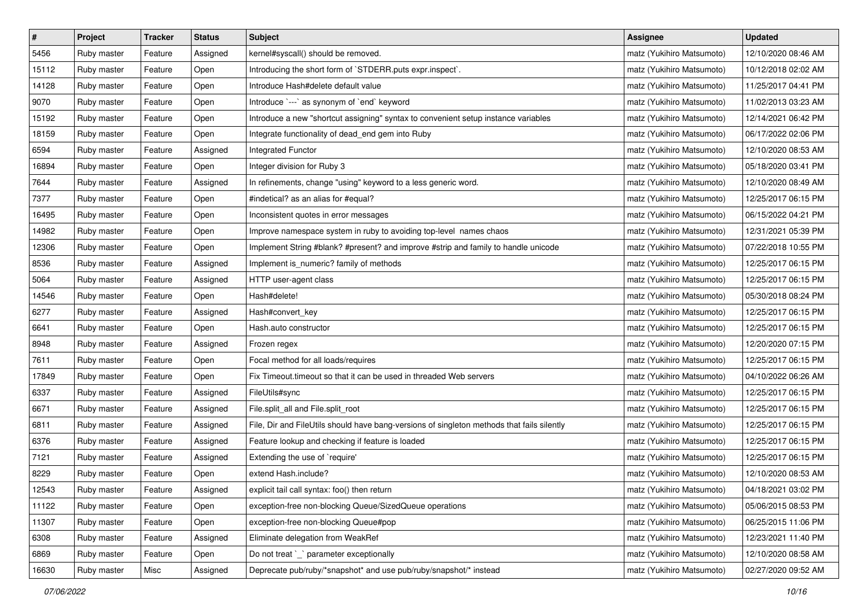| $\pmb{\#}$ | Project     | <b>Tracker</b> | <b>Status</b> | <b>Subject</b>                                                                             | <b>Assignee</b>           | <b>Updated</b>      |
|------------|-------------|----------------|---------------|--------------------------------------------------------------------------------------------|---------------------------|---------------------|
| 5456       | Ruby master | Feature        | Assigned      | kernel#syscall() should be removed.                                                        | matz (Yukihiro Matsumoto) | 12/10/2020 08:46 AM |
| 15112      | Ruby master | Feature        | Open          | Introducing the short form of `STDERR.puts expr.inspect`.                                  | matz (Yukihiro Matsumoto) | 10/12/2018 02:02 AM |
| 14128      | Ruby master | Feature        | Open          | Introduce Hash#delete default value                                                        | matz (Yukihiro Matsumoto) | 11/25/2017 04:41 PM |
| 9070       | Ruby master | Feature        | Open          | Introduce `---` as synonym of `end` keyword                                                | matz (Yukihiro Matsumoto) | 11/02/2013 03:23 AM |
| 15192      | Ruby master | Feature        | Open          | Introduce a new "shortcut assigning" syntax to convenient setup instance variables         | matz (Yukihiro Matsumoto) | 12/14/2021 06:42 PM |
| 18159      | Ruby master | Feature        | Open          | Integrate functionality of dead_end gem into Ruby                                          | matz (Yukihiro Matsumoto) | 06/17/2022 02:06 PM |
| 6594       | Ruby master | Feature        | Assigned      | Integrated Functor                                                                         | matz (Yukihiro Matsumoto) | 12/10/2020 08:53 AM |
| 16894      | Ruby master | Feature        | Open          | Integer division for Ruby 3                                                                | matz (Yukihiro Matsumoto) | 05/18/2020 03:41 PM |
| 7644       | Ruby master | Feature        | Assigned      | In refinements, change "using" keyword to a less generic word.                             | matz (Yukihiro Matsumoto) | 12/10/2020 08:49 AM |
| 7377       | Ruby master | Feature        | Open          | #indetical? as an alias for #equal?                                                        | matz (Yukihiro Matsumoto) | 12/25/2017 06:15 PM |
| 16495      | Ruby master | Feature        | Open          | Inconsistent quotes in error messages                                                      | matz (Yukihiro Matsumoto) | 06/15/2022 04:21 PM |
| 14982      | Ruby master | Feature        | Open          | Improve namespace system in ruby to avoiding top-level names chaos                         | matz (Yukihiro Matsumoto) | 12/31/2021 05:39 PM |
| 12306      | Ruby master | Feature        | Open          | Implement String #blank? #present? and improve #strip and family to handle unicode         | matz (Yukihiro Matsumoto) | 07/22/2018 10:55 PM |
| 8536       | Ruby master | Feature        | Assigned      | Implement is_numeric? family of methods                                                    | matz (Yukihiro Matsumoto) | 12/25/2017 06:15 PM |
| 5064       | Ruby master | Feature        | Assigned      | HTTP user-agent class                                                                      | matz (Yukihiro Matsumoto) | 12/25/2017 06:15 PM |
| 14546      | Ruby master | Feature        | Open          | Hash#delete!                                                                               | matz (Yukihiro Matsumoto) | 05/30/2018 08:24 PM |
| 6277       | Ruby master | Feature        | Assigned      | Hash#convert_key                                                                           | matz (Yukihiro Matsumoto) | 12/25/2017 06:15 PM |
| 6641       | Ruby master | Feature        | Open          | Hash.auto constructor                                                                      | matz (Yukihiro Matsumoto) | 12/25/2017 06:15 PM |
| 8948       | Ruby master | Feature        | Assigned      | Frozen regex                                                                               | matz (Yukihiro Matsumoto) | 12/20/2020 07:15 PM |
| 7611       | Ruby master | Feature        | Open          | Focal method for all loads/requires                                                        | matz (Yukihiro Matsumoto) | 12/25/2017 06:15 PM |
| 17849      | Ruby master | Feature        | Open          | Fix Timeout timeout so that it can be used in threaded Web servers                         | matz (Yukihiro Matsumoto) | 04/10/2022 06:26 AM |
| 6337       | Ruby master | Feature        | Assigned      | FileUtils#sync                                                                             | matz (Yukihiro Matsumoto) | 12/25/2017 06:15 PM |
| 6671       | Ruby master | Feature        | Assigned      | File.split_all and File.split_root                                                         | matz (Yukihiro Matsumoto) | 12/25/2017 06:15 PM |
| 6811       | Ruby master | Feature        | Assigned      | File, Dir and FileUtils should have bang-versions of singleton methods that fails silently | matz (Yukihiro Matsumoto) | 12/25/2017 06:15 PM |
| 6376       | Ruby master | Feature        | Assigned      | Feature lookup and checking if feature is loaded                                           | matz (Yukihiro Matsumoto) | 12/25/2017 06:15 PM |
| 7121       | Ruby master | Feature        | Assigned      | Extending the use of `require'                                                             | matz (Yukihiro Matsumoto) | 12/25/2017 06:15 PM |
| 8229       | Ruby master | Feature        | Open          | extend Hash.include?                                                                       | matz (Yukihiro Matsumoto) | 12/10/2020 08:53 AM |
| 12543      | Ruby master | Feature        | Assigned      | explicit tail call syntax: foo() then return                                               | matz (Yukihiro Matsumoto) | 04/18/2021 03:02 PM |
| 11122      | Ruby master | Feature        | Open          | exception-free non-blocking Queue/SizedQueue operations                                    | matz (Yukihiro Matsumoto) | 05/06/2015 08:53 PM |
| 11307      | Ruby master | Feature        | Open          | exception-free non-blocking Queue#pop                                                      | matz (Yukihiro Matsumoto) | 06/25/2015 11:06 PM |
| 6308       | Ruby master | Feature        | Assigned      | Eliminate delegation from WeakRef                                                          | matz (Yukihiro Matsumoto) | 12/23/2021 11:40 PM |
| 6869       | Ruby master | Feature        | Open          | Do not treat `_` parameter exceptionally                                                   | matz (Yukihiro Matsumoto) | 12/10/2020 08:58 AM |
| 16630      | Ruby master | Misc           | Assigned      | Deprecate pub/ruby/*snapshot* and use pub/ruby/snapshot/* instead                          | matz (Yukihiro Matsumoto) | 02/27/2020 09:52 AM |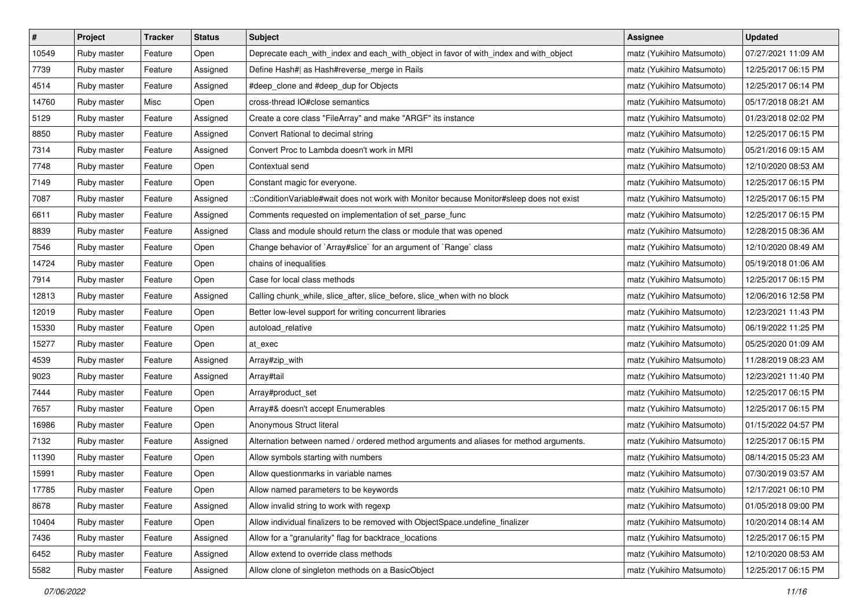| $\pmb{\#}$ | Project     | <b>Tracker</b> | <b>Status</b> | Subject                                                                                  | Assignee                  | <b>Updated</b>      |
|------------|-------------|----------------|---------------|------------------------------------------------------------------------------------------|---------------------------|---------------------|
| 10549      | Ruby master | Feature        | Open          | Deprecate each_with_index and each_with_object in favor of with_index and with_object    | matz (Yukihiro Matsumoto) | 07/27/2021 11:09 AM |
| 7739       | Ruby master | Feature        | Assigned      | Define Hash#  as Hash#reverse_merge in Rails                                             | matz (Yukihiro Matsumoto) | 12/25/2017 06:15 PM |
| 4514       | Ruby master | Feature        | Assigned      | #deep_clone and #deep_dup for Objects                                                    | matz (Yukihiro Matsumoto) | 12/25/2017 06:14 PM |
| 14760      | Ruby master | Misc           | Open          | cross-thread IO#close semantics                                                          | matz (Yukihiro Matsumoto) | 05/17/2018 08:21 AM |
| 5129       | Ruby master | Feature        | Assigned      | Create a core class "FileArray" and make "ARGF" its instance                             | matz (Yukihiro Matsumoto) | 01/23/2018 02:02 PM |
| 8850       | Ruby master | Feature        | Assigned      | Convert Rational to decimal string                                                       | matz (Yukihiro Matsumoto) | 12/25/2017 06:15 PM |
| 7314       | Ruby master | Feature        | Assigned      | Convert Proc to Lambda doesn't work in MRI                                               | matz (Yukihiro Matsumoto) | 05/21/2016 09:15 AM |
| 7748       | Ruby master | Feature        | Open          | Contextual send                                                                          | matz (Yukihiro Matsumoto) | 12/10/2020 08:53 AM |
| 7149       | Ruby master | Feature        | Open          | Constant magic for everyone.                                                             | matz (Yukihiro Matsumoto) | 12/25/2017 06:15 PM |
| 7087       | Ruby master | Feature        | Assigned      | ::ConditionVariable#wait does not work with Monitor because Monitor#sleep does not exist | matz (Yukihiro Matsumoto) | 12/25/2017 06:15 PM |
| 6611       | Ruby master | Feature        | Assigned      | Comments requested on implementation of set_parse_func                                   | matz (Yukihiro Matsumoto) | 12/25/2017 06:15 PM |
| 8839       | Ruby master | Feature        | Assigned      | Class and module should return the class or module that was opened                       | matz (Yukihiro Matsumoto) | 12/28/2015 08:36 AM |
| 7546       | Ruby master | Feature        | Open          | Change behavior of `Array#slice` for an argument of `Range` class                        | matz (Yukihiro Matsumoto) | 12/10/2020 08:49 AM |
| 14724      | Ruby master | Feature        | Open          | chains of inequalities                                                                   | matz (Yukihiro Matsumoto) | 05/19/2018 01:06 AM |
| 7914       | Ruby master | Feature        | Open          | Case for local class methods                                                             | matz (Yukihiro Matsumoto) | 12/25/2017 06:15 PM |
| 12813      | Ruby master | Feature        | Assigned      | Calling chunk_while, slice_after, slice_before, slice_when with no block                 | matz (Yukihiro Matsumoto) | 12/06/2016 12:58 PM |
| 12019      | Ruby master | Feature        | Open          | Better low-level support for writing concurrent libraries                                | matz (Yukihiro Matsumoto) | 12/23/2021 11:43 PM |
| 15330      | Ruby master | Feature        | Open          | autoload_relative                                                                        | matz (Yukihiro Matsumoto) | 06/19/2022 11:25 PM |
| 15277      | Ruby master | Feature        | Open          | at exec                                                                                  | matz (Yukihiro Matsumoto) | 05/25/2020 01:09 AM |
| 4539       | Ruby master | Feature        | Assigned      | Array#zip_with                                                                           | matz (Yukihiro Matsumoto) | 11/28/2019 08:23 AM |
| 9023       | Ruby master | Feature        | Assigned      | Array#tail                                                                               | matz (Yukihiro Matsumoto) | 12/23/2021 11:40 PM |
| 7444       | Ruby master | Feature        | Open          | Array#product_set                                                                        | matz (Yukihiro Matsumoto) | 12/25/2017 06:15 PM |
| 7657       | Ruby master | Feature        | Open          | Array#& doesn't accept Enumerables                                                       | matz (Yukihiro Matsumoto) | 12/25/2017 06:15 PM |
| 16986      | Ruby master | Feature        | Open          | Anonymous Struct literal                                                                 | matz (Yukihiro Matsumoto) | 01/15/2022 04:57 PM |
| 7132       | Ruby master | Feature        | Assigned      | Alternation between named / ordered method arguments and aliases for method arguments.   | matz (Yukihiro Matsumoto) | 12/25/2017 06:15 PM |
| 11390      | Ruby master | Feature        | Open          | Allow symbols starting with numbers                                                      | matz (Yukihiro Matsumoto) | 08/14/2015 05:23 AM |
| 15991      | Ruby master | Feature        | Open          | Allow questionmarks in variable names                                                    | matz (Yukihiro Matsumoto) | 07/30/2019 03:57 AM |
| 17785      | Ruby master | Feature        | Open          | Allow named parameters to be keywords                                                    | matz (Yukihiro Matsumoto) | 12/17/2021 06:10 PM |
| 8678       | Ruby master | Feature        | Assigned      | Allow invalid string to work with regexp                                                 | matz (Yukihiro Matsumoto) | 01/05/2018 09:00 PM |
| 10404      | Ruby master | Feature        | Open          | Allow individual finalizers to be removed with ObjectSpace.undefine_finalizer            | matz (Yukihiro Matsumoto) | 10/20/2014 08:14 AM |
| 7436       | Ruby master | Feature        | Assigned      | Allow for a "granularity" flag for backtrace_locations                                   | matz (Yukihiro Matsumoto) | 12/25/2017 06:15 PM |
| 6452       | Ruby master | Feature        | Assigned      | Allow extend to override class methods                                                   | matz (Yukihiro Matsumoto) | 12/10/2020 08:53 AM |
| 5582       | Ruby master | Feature        | Assigned      | Allow clone of singleton methods on a BasicObject                                        | matz (Yukihiro Matsumoto) | 12/25/2017 06:15 PM |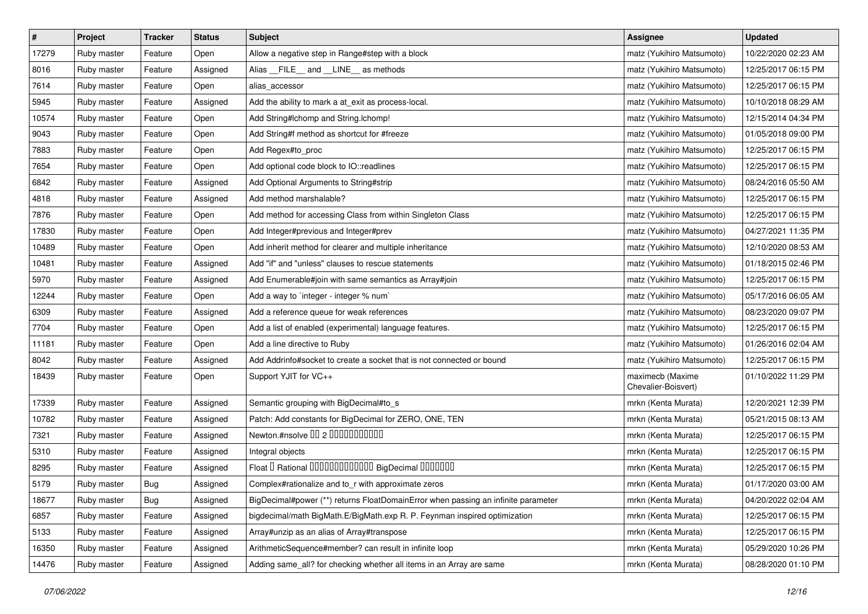| $\sharp$ | Project     | Tracker | <b>Status</b> | <b>Subject</b>                                                                    | Assignee                                | <b>Updated</b>      |
|----------|-------------|---------|---------------|-----------------------------------------------------------------------------------|-----------------------------------------|---------------------|
| 17279    | Ruby master | Feature | Open          | Allow a negative step in Range#step with a block                                  | matz (Yukihiro Matsumoto)               | 10/22/2020 02:23 AM |
| 8016     | Ruby master | Feature | Assigned      | Alias __FILE__ and __LINE__ as methods                                            | matz (Yukihiro Matsumoto)               | 12/25/2017 06:15 PM |
| 7614     | Ruby master | Feature | Open          | alias accessor                                                                    | matz (Yukihiro Matsumoto)               | 12/25/2017 06:15 PM |
| 5945     | Ruby master | Feature | Assigned      | Add the ability to mark a at_exit as process-local.                               | matz (Yukihiro Matsumoto)               | 10/10/2018 08:29 AM |
| 10574    | Ruby master | Feature | Open          | Add String#Ichomp and String.Ichomp!                                              | matz (Yukihiro Matsumoto)               | 12/15/2014 04:34 PM |
| 9043     | Ruby master | Feature | Open          | Add String#f method as shortcut for #freeze                                       | matz (Yukihiro Matsumoto)               | 01/05/2018 09:00 PM |
| 7883     | Ruby master | Feature | Open          | Add Regex#to_proc                                                                 | matz (Yukihiro Matsumoto)               | 12/25/2017 06:15 PM |
| 7654     | Ruby master | Feature | Open          | Add optional code block to IO::readlines                                          | matz (Yukihiro Matsumoto)               | 12/25/2017 06:15 PM |
| 6842     | Ruby master | Feature | Assigned      | Add Optional Arguments to String#strip                                            | matz (Yukihiro Matsumoto)               | 08/24/2016 05:50 AM |
| 4818     | Ruby master | Feature | Assigned      | Add method marshalable?                                                           | matz (Yukihiro Matsumoto)               | 12/25/2017 06:15 PM |
| 7876     | Ruby master | Feature | Open          | Add method for accessing Class from within Singleton Class                        | matz (Yukihiro Matsumoto)               | 12/25/2017 06:15 PM |
| 17830    | Ruby master | Feature | Open          | Add Integer#previous and Integer#prev                                             | matz (Yukihiro Matsumoto)               | 04/27/2021 11:35 PM |
| 10489    | Ruby master | Feature | Open          | Add inherit method for clearer and multiple inheritance                           | matz (Yukihiro Matsumoto)               | 12/10/2020 08:53 AM |
| 10481    | Ruby master | Feature | Assigned      | Add "if" and "unless" clauses to rescue statements                                | matz (Yukihiro Matsumoto)               | 01/18/2015 02:46 PM |
| 5970     | Ruby master | Feature | Assigned      | Add Enumerable#join with same semantics as Array#join                             | matz (Yukihiro Matsumoto)               | 12/25/2017 06:15 PM |
| 12244    | Ruby master | Feature | Open          | Add a way to `integer - integer % num`                                            | matz (Yukihiro Matsumoto)               | 05/17/2016 06:05 AM |
| 6309     | Ruby master | Feature | Assigned      | Add a reference queue for weak references                                         | matz (Yukihiro Matsumoto)               | 08/23/2020 09:07 PM |
| 7704     | Ruby master | Feature | Open          | Add a list of enabled (experimental) language features.                           | matz (Yukihiro Matsumoto)               | 12/25/2017 06:15 PM |
| 11181    | Ruby master | Feature | Open          | Add a line directive to Ruby                                                      | matz (Yukihiro Matsumoto)               | 01/26/2016 02:04 AM |
| 8042     | Ruby master | Feature | Assigned      | Add Addrinfo#socket to create a socket that is not connected or bound             | matz (Yukihiro Matsumoto)               | 12/25/2017 06:15 PM |
| 18439    | Ruby master | Feature | Open          | Support YJIT for VC++                                                             | maximecb (Maxime<br>Chevalier-Boisvert) | 01/10/2022 11:29 PM |
| 17339    | Ruby master | Feature | Assigned      | Semantic grouping with BigDecimal#to_s                                            | mrkn (Kenta Murata)                     | 12/20/2021 12:39 PM |
| 10782    | Ruby master | Feature | Assigned      | Patch: Add constants for BigDecimal for ZERO, ONE, TEN                            | mrkn (Kenta Murata)                     | 05/21/2015 08:13 AM |
| 7321     | Ruby master | Feature | Assigned      | Newton.#nsolve 00 2 0000000000                                                    | mrkn (Kenta Murata)                     | 12/25/2017 06:15 PM |
| 5310     | Ruby master | Feature | Assigned      | Integral objects                                                                  | mrkn (Kenta Murata)                     | 12/25/2017 06:15 PM |
| 8295     | Ruby master | Feature | Assigned      | Float I Rational 0000000000000 BigDecimal 0000000                                 | mrkn (Kenta Murata)                     | 12/25/2017 06:15 PM |
| 5179     | Ruby master | Bug     | Assigned      | Complex#rationalize and to_r with approximate zeros                               | mrkn (Kenta Murata)                     | 01/17/2020 03:00 AM |
| 18677    | Ruby master | Bug     | Assigned      | BigDecimal#power (**) returns FloatDomainError when passing an infinite parameter | mrkn (Kenta Murata)                     | 04/20/2022 02:04 AM |
| 6857     | Ruby master | Feature | Assigned      | bigdecimal/math BigMath.E/BigMath.exp R. P. Feynman inspired optimization         | mrkn (Kenta Murata)                     | 12/25/2017 06:15 PM |
| 5133     | Ruby master | Feature | Assigned      | Array#unzip as an alias of Array#transpose                                        | mrkn (Kenta Murata)                     | 12/25/2017 06:15 PM |
| 16350    | Ruby master | Feature | Assigned      | ArithmeticSequence#member? can result in infinite loop                            | mrkn (Kenta Murata)                     | 05/29/2020 10:26 PM |
| 14476    | Ruby master | Feature | Assigned      | Adding same_all? for checking whether all items in an Array are same              | mrkn (Kenta Murata)                     | 08/28/2020 01:10 PM |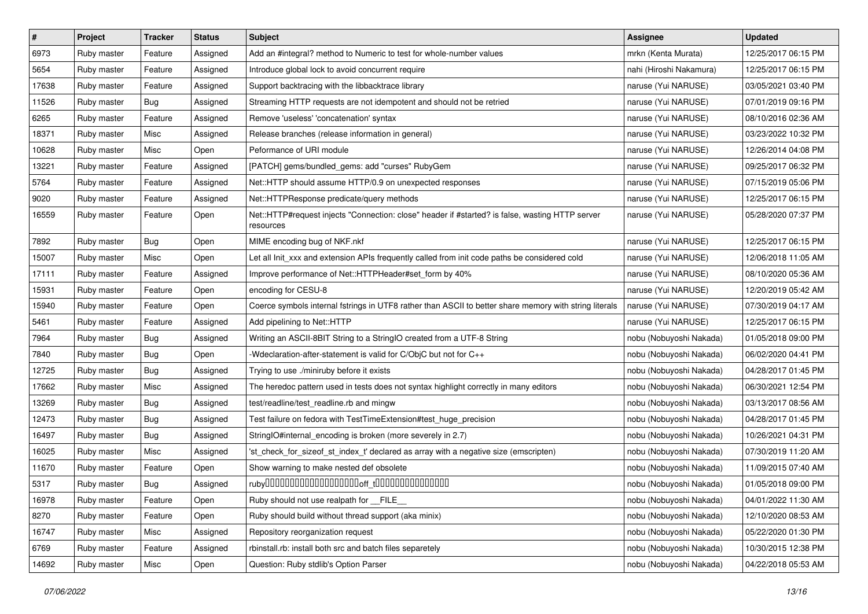| $\sharp$ | Project     | <b>Tracker</b> | <b>Status</b> | <b>Subject</b>                                                                                               | Assignee                | <b>Updated</b>      |
|----------|-------------|----------------|---------------|--------------------------------------------------------------------------------------------------------------|-------------------------|---------------------|
| 6973     | Ruby master | Feature        | Assigned      | Add an #integral? method to Numeric to test for whole-number values                                          | mrkn (Kenta Murata)     | 12/25/2017 06:15 PM |
| 5654     | Ruby master | Feature        | Assigned      | Introduce global lock to avoid concurrent require                                                            | nahi (Hiroshi Nakamura) | 12/25/2017 06:15 PM |
| 17638    | Ruby master | Feature        | Assigned      | Support backtracing with the libbacktrace library                                                            | naruse (Yui NARUSE)     | 03/05/2021 03:40 PM |
| 11526    | Ruby master | Bug            | Assigned      | Streaming HTTP requests are not idempotent and should not be retried                                         | naruse (Yui NARUSE)     | 07/01/2019 09:16 PM |
| 6265     | Ruby master | Feature        | Assigned      | Remove 'useless' 'concatenation' syntax                                                                      | naruse (Yui NARUSE)     | 08/10/2016 02:36 AM |
| 18371    | Ruby master | Misc           | Assigned      | Release branches (release information in general)                                                            | naruse (Yui NARUSE)     | 03/23/2022 10:32 PM |
| 10628    | Ruby master | Misc           | Open          | Peformance of URI module                                                                                     | naruse (Yui NARUSE)     | 12/26/2014 04:08 PM |
| 13221    | Ruby master | Feature        | Assigned      | [PATCH] gems/bundled_gems: add "curses" RubyGem                                                              | naruse (Yui NARUSE)     | 09/25/2017 06:32 PM |
| 5764     | Ruby master | Feature        | Assigned      | Net::HTTP should assume HTTP/0.9 on unexpected responses                                                     | naruse (Yui NARUSE)     | 07/15/2019 05:06 PM |
| 9020     | Ruby master | Feature        | Assigned      | Net::HTTPResponse predicate/query methods                                                                    | naruse (Yui NARUSE)     | 12/25/2017 06:15 PM |
| 16559    | Ruby master | Feature        | Open          | Net::HTTP#request injects "Connection: close" header if #started? is false, wasting HTTP server<br>resources | naruse (Yui NARUSE)     | 05/28/2020 07:37 PM |
| 7892     | Ruby master | Bug            | Open          | MIME encoding bug of NKF.nkf                                                                                 | naruse (Yui NARUSE)     | 12/25/2017 06:15 PM |
| 15007    | Ruby master | Misc           | Open          | Let all Init_xxx and extension APIs frequently called from init code paths be considered cold                | naruse (Yui NARUSE)     | 12/06/2018 11:05 AM |
| 17111    | Ruby master | Feature        | Assigned      | Improve performance of Net::HTTPHeader#set_form by 40%                                                       | naruse (Yui NARUSE)     | 08/10/2020 05:36 AM |
| 15931    | Ruby master | Feature        | Open          | encoding for CESU-8                                                                                          | naruse (Yui NARUSE)     | 12/20/2019 05:42 AM |
| 15940    | Ruby master | Feature        | Open          | Coerce symbols internal fstrings in UTF8 rather than ASCII to better share memory with string literals       | naruse (Yui NARUSE)     | 07/30/2019 04:17 AM |
| 5461     | Ruby master | Feature        | Assigned      | Add pipelining to Net::HTTP                                                                                  | naruse (Yui NARUSE)     | 12/25/2017 06:15 PM |
| 7964     | Ruby master | Bug            | Assigned      | Writing an ASCII-8BIT String to a StringIO created from a UTF-8 String                                       | nobu (Nobuyoshi Nakada) | 01/05/2018 09:00 PM |
| 7840     | Ruby master | Bug            | Open          | -Wdeclaration-after-statement is valid for C/ObjC but not for C++                                            | nobu (Nobuyoshi Nakada) | 06/02/2020 04:41 PM |
| 12725    | Ruby master | <b>Bug</b>     | Assigned      | Trying to use ./miniruby before it exists                                                                    | nobu (Nobuyoshi Nakada) | 04/28/2017 01:45 PM |
| 17662    | Ruby master | Misc           | Assigned      | The heredoc pattern used in tests does not syntax highlight correctly in many editors                        | nobu (Nobuyoshi Nakada) | 06/30/2021 12:54 PM |
| 13269    | Ruby master | <b>Bug</b>     | Assigned      | test/readline/test_readline.rb and mingw                                                                     | nobu (Nobuyoshi Nakada) | 03/13/2017 08:56 AM |
| 12473    | Ruby master | Bug            | Assigned      | Test failure on fedora with TestTimeExtension#test_huge_precision                                            | nobu (Nobuyoshi Nakada) | 04/28/2017 01:45 PM |
| 16497    | Ruby master | Bug            | Assigned      | StringIO#internal_encoding is broken (more severely in 2.7)                                                  | nobu (Nobuyoshi Nakada) | 10/26/2021 04:31 PM |
| 16025    | Ruby master | Misc           | Assigned      | 'st_check_for_sizeof_st_index_t' declared as array with a negative size (emscripten)                         | nobu (Nobuyoshi Nakada) | 07/30/2019 11:20 AM |
| 11670    | Ruby master | Feature        | Open          | Show warning to make nested def obsolete                                                                     | nobu (Nobuyoshi Nakada) | 11/09/2015 07:40 AM |
| 5317     | Ruby master | Bug            | Assigned      |                                                                                                              | nobu (Nobuyoshi Nakada) | 01/05/2018 09:00 PM |
| 16978    | Ruby master | Feature        | Open          | Ruby should not use realpath for __FILE_                                                                     | nobu (Nobuyoshi Nakada) | 04/01/2022 11:30 AM |
| 8270     | Ruby master | Feature        | Open          | Ruby should build without thread support (aka minix)                                                         | nobu (Nobuyoshi Nakada) | 12/10/2020 08:53 AM |
| 16747    | Ruby master | Misc           | Assigned      | Repository reorganization request                                                                            | nobu (Nobuyoshi Nakada) | 05/22/2020 01:30 PM |
| 6769     | Ruby master | Feature        | Assigned      | rbinstall.rb: install both src and batch files separetely                                                    | nobu (Nobuyoshi Nakada) | 10/30/2015 12:38 PM |
| 14692    | Ruby master | Misc           | Open          | Question: Ruby stdlib's Option Parser                                                                        | nobu (Nobuyoshi Nakada) | 04/22/2018 05:53 AM |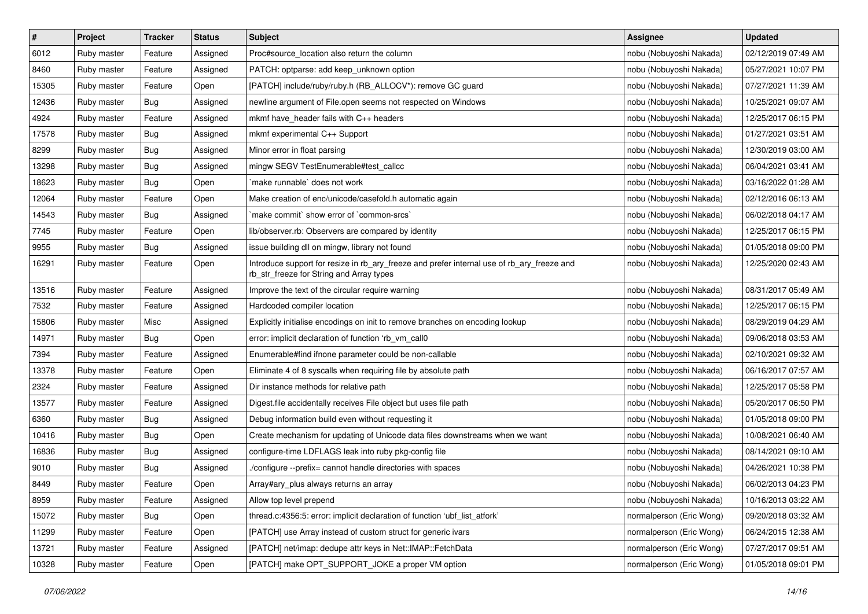| $\pmb{\#}$ | Project     | <b>Tracker</b> | <b>Status</b> | <b>Subject</b>                                                                                                                         | Assignee                 | <b>Updated</b>      |
|------------|-------------|----------------|---------------|----------------------------------------------------------------------------------------------------------------------------------------|--------------------------|---------------------|
| 6012       | Ruby master | Feature        | Assigned      | Proc#source_location also return the column                                                                                            | nobu (Nobuyoshi Nakada)  | 02/12/2019 07:49 AM |
| 8460       | Ruby master | Feature        | Assigned      | PATCH: optparse: add keep_unknown option                                                                                               | nobu (Nobuyoshi Nakada)  | 05/27/2021 10:07 PM |
| 15305      | Ruby master | Feature        | Open          | [PATCH] include/ruby/ruby.h (RB_ALLOCV*): remove GC guard                                                                              | nobu (Nobuyoshi Nakada)  | 07/27/2021 11:39 AM |
| 12436      | Ruby master | Bug            | Assigned      | newline argument of File.open seems not respected on Windows                                                                           | nobu (Nobuyoshi Nakada)  | 10/25/2021 09:07 AM |
| 4924       | Ruby master | Feature        | Assigned      | mkmf have_header fails with C++ headers                                                                                                | nobu (Nobuyoshi Nakada)  | 12/25/2017 06:15 PM |
| 17578      | Ruby master | Bug            | Assigned      | mkmf experimental C++ Support                                                                                                          | nobu (Nobuyoshi Nakada)  | 01/27/2021 03:51 AM |
| 8299       | Ruby master | Bug            | Assigned      | Minor error in float parsing                                                                                                           | nobu (Nobuyoshi Nakada)  | 12/30/2019 03:00 AM |
| 13298      | Ruby master | Bug            | Assigned      | mingw SEGV TestEnumerable#test_callcc                                                                                                  | nobu (Nobuyoshi Nakada)  | 06/04/2021 03:41 AM |
| 18623      | Ruby master | Bug            | Open          | make runnable' does not work                                                                                                           | nobu (Nobuyoshi Nakada)  | 03/16/2022 01:28 AM |
| 12064      | Ruby master | Feature        | Open          | Make creation of enc/unicode/casefold.h automatic again                                                                                | nobu (Nobuyoshi Nakada)  | 02/12/2016 06:13 AM |
| 14543      | Ruby master | Bug            | Assigned      | 'make commit' show error of 'common-srcs'                                                                                              | nobu (Nobuyoshi Nakada)  | 06/02/2018 04:17 AM |
| 7745       | Ruby master | Feature        | Open          | lib/observer.rb: Observers are compared by identity                                                                                    | nobu (Nobuyoshi Nakada)  | 12/25/2017 06:15 PM |
| 9955       | Ruby master | Bug            | Assigned      | issue building dll on mingw, library not found                                                                                         | nobu (Nobuyoshi Nakada)  | 01/05/2018 09:00 PM |
| 16291      | Ruby master | Feature        | Open          | Introduce support for resize in rb_ary_freeze and prefer internal use of rb_ary_freeze and<br>rb_str_freeze for String and Array types | nobu (Nobuyoshi Nakada)  | 12/25/2020 02:43 AM |
| 13516      | Ruby master | Feature        | Assigned      | Improve the text of the circular require warning                                                                                       | nobu (Nobuyoshi Nakada)  | 08/31/2017 05:49 AM |
| 7532       | Ruby master | Feature        | Assigned      | Hardcoded compiler location                                                                                                            | nobu (Nobuyoshi Nakada)  | 12/25/2017 06:15 PM |
| 15806      | Ruby master | Misc           | Assigned      | Explicitly initialise encodings on init to remove branches on encoding lookup                                                          | nobu (Nobuyoshi Nakada)  | 08/29/2019 04:29 AM |
| 14971      | Ruby master | Bug            | Open          | error: implicit declaration of function 'rb vm call0                                                                                   | nobu (Nobuyoshi Nakada)  | 09/06/2018 03:53 AM |
| 7394       | Ruby master | Feature        | Assigned      | Enumerable#find ifnone parameter could be non-callable                                                                                 | nobu (Nobuyoshi Nakada)  | 02/10/2021 09:32 AM |
| 13378      | Ruby master | Feature        | Open          | Eliminate 4 of 8 syscalls when requiring file by absolute path                                                                         | nobu (Nobuyoshi Nakada)  | 06/16/2017 07:57 AM |
| 2324       | Ruby master | Feature        | Assigned      | Dir instance methods for relative path                                                                                                 | nobu (Nobuyoshi Nakada)  | 12/25/2017 05:58 PM |
| 13577      | Ruby master | Feature        | Assigned      | Digest file accidentally receives File object but uses file path                                                                       | nobu (Nobuyoshi Nakada)  | 05/20/2017 06:50 PM |
| 6360       | Ruby master | Bug            | Assigned      | Debug information build even without requesting it                                                                                     | nobu (Nobuyoshi Nakada)  | 01/05/2018 09:00 PM |
| 10416      | Ruby master | Bug            | Open          | Create mechanism for updating of Unicode data files downstreams when we want                                                           | nobu (Nobuyoshi Nakada)  | 10/08/2021 06:40 AM |
| 16836      | Ruby master | Bug            | Assigned      | configure-time LDFLAGS leak into ruby pkg-config file                                                                                  | nobu (Nobuyoshi Nakada)  | 08/14/2021 09:10 AM |
| 9010       | Ruby master | Bug            | Assigned      | /configure --prefix= cannot handle directories with spaces                                                                             | nobu (Nobuyoshi Nakada)  | 04/26/2021 10:38 PM |
| 8449       | Ruby master | Feature        | Open          | Array#ary_plus always returns an array                                                                                                 | nobu (Nobuyoshi Nakada)  | 06/02/2013 04:23 PM |
| 8959       | Ruby master | Feature        | Assigned      | Allow top level prepend                                                                                                                | nobu (Nobuyoshi Nakada)  | 10/16/2013 03:22 AM |
| 15072      | Ruby master | Bug            | Open          | thread.c:4356:5: error: implicit declaration of function 'ubf_list_atfork'                                                             | normalperson (Eric Wong) | 09/20/2018 03:32 AM |
| 11299      | Ruby master | Feature        | Open          | [PATCH] use Array instead of custom struct for generic ivars                                                                           | normalperson (Eric Wong) | 06/24/2015 12:38 AM |
| 13721      | Ruby master | Feature        | Assigned      | [PATCH] net/imap: dedupe attr keys in Net::IMAP::FetchData                                                                             | normalperson (Eric Wong) | 07/27/2017 09:51 AM |
| 10328      | Ruby master | Feature        | Open          | [PATCH] make OPT_SUPPORT_JOKE a proper VM option                                                                                       | normalperson (Eric Wong) | 01/05/2018 09:01 PM |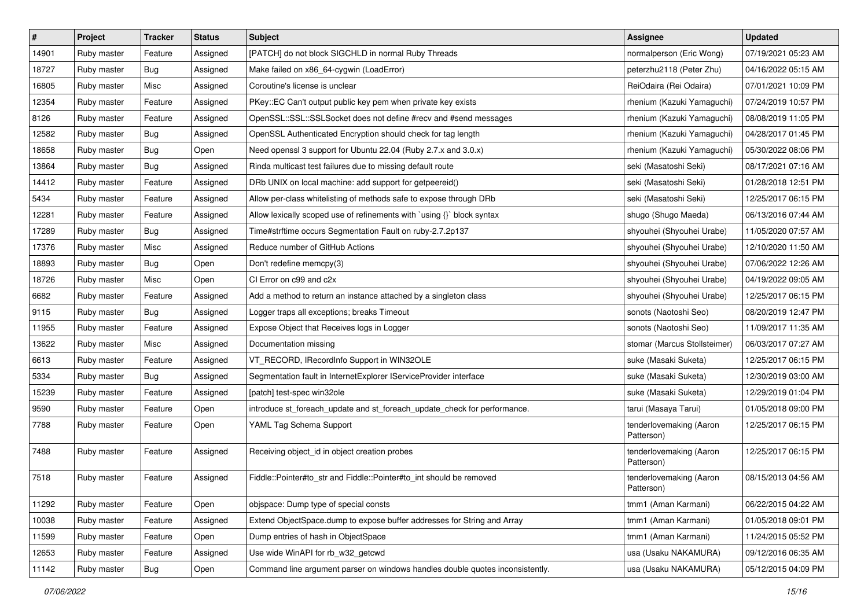| $\vert$ # | Project     | <b>Tracker</b> | <b>Status</b> | <b>Subject</b>                                                                | <b>Assignee</b>                       | <b>Updated</b>      |
|-----------|-------------|----------------|---------------|-------------------------------------------------------------------------------|---------------------------------------|---------------------|
| 14901     | Ruby master | Feature        | Assigned      | [PATCH] do not block SIGCHLD in normal Ruby Threads                           | normalperson (Eric Wong)              | 07/19/2021 05:23 AM |
| 18727     | Ruby master | Bug            | Assigned      | Make failed on x86_64-cygwin (LoadError)                                      | peterzhu2118 (Peter Zhu)              | 04/16/2022 05:15 AM |
| 16805     | Ruby master | Misc           | Assigned      | Coroutine's license is unclear                                                | ReiOdaira (Rei Odaira)                | 07/01/2021 10:09 PM |
| 12354     | Ruby master | Feature        | Assigned      | PKey::EC Can't output public key pem when private key exists                  | rhenium (Kazuki Yamaguchi)            | 07/24/2019 10:57 PM |
| 8126      | Ruby master | Feature        | Assigned      | OpenSSL::SSL::SSLSocket does not define #recv and #send messages              | rhenium (Kazuki Yamaguchi)            | 08/08/2019 11:05 PM |
| 12582     | Ruby master | Bug            | Assigned      | OpenSSL Authenticated Encryption should check for tag length                  | rhenium (Kazuki Yamaguchi)            | 04/28/2017 01:45 PM |
| 18658     | Ruby master | Bug            | Open          | Need openssl 3 support for Ubuntu 22.04 (Ruby 2.7.x and 3.0.x)                | rhenium (Kazuki Yamaguchi)            | 05/30/2022 08:06 PM |
| 13864     | Ruby master | Bug            | Assigned      | Rinda multicast test failures due to missing default route                    | seki (Masatoshi Seki)                 | 08/17/2021 07:16 AM |
| 14412     | Ruby master | Feature        | Assigned      | DRb UNIX on local machine: add support for getpeereid()                       | seki (Masatoshi Seki)                 | 01/28/2018 12:51 PM |
| 5434      | Ruby master | Feature        | Assigned      | Allow per-class whitelisting of methods safe to expose through DRb            | seki (Masatoshi Seki)                 | 12/25/2017 06:15 PM |
| 12281     | Ruby master | Feature        | Assigned      | Allow lexically scoped use of refinements with 'using {}' block syntax        | shugo (Shugo Maeda)                   | 06/13/2016 07:44 AM |
| 17289     | Ruby master | Bug            | Assigned      | Time#strftime occurs Segmentation Fault on ruby-2.7.2p137                     | shyouhei (Shyouhei Urabe)             | 11/05/2020 07:57 AM |
| 17376     | Ruby master | Misc           | Assigned      | Reduce number of GitHub Actions                                               | shyouhei (Shyouhei Urabe)             | 12/10/2020 11:50 AM |
| 18893     | Ruby master | Bug            | Open          | Don't redefine memcpy(3)                                                      | shyouhei (Shyouhei Urabe)             | 07/06/2022 12:26 AM |
| 18726     | Ruby master | Misc           | Open          | CI Error on c99 and c2x                                                       | shyouhei (Shyouhei Urabe)             | 04/19/2022 09:05 AM |
| 6682      | Ruby master | Feature        | Assigned      | Add a method to return an instance attached by a singleton class              | shyouhei (Shyouhei Urabe)             | 12/25/2017 06:15 PM |
| 9115      | Ruby master | Bug            | Assigned      | Logger traps all exceptions; breaks Timeout                                   | sonots (Naotoshi Seo)                 | 08/20/2019 12:47 PM |
| 11955     | Ruby master | Feature        | Assigned      | Expose Object that Receives logs in Logger                                    | sonots (Naotoshi Seo)                 | 11/09/2017 11:35 AM |
| 13622     | Ruby master | Misc           | Assigned      | Documentation missing                                                         | stomar (Marcus Stollsteimer)          | 06/03/2017 07:27 AM |
| 6613      | Ruby master | Feature        | Assigned      | VT_RECORD, IRecordInfo Support in WIN32OLE                                    | suke (Masaki Suketa)                  | 12/25/2017 06:15 PM |
| 5334      | Ruby master | Bug            | Assigned      | Segmentation fault in InternetExplorer IServiceProvider interface             | suke (Masaki Suketa)                  | 12/30/2019 03:00 AM |
| 15239     | Ruby master | Feature        | Assigned      | [patch] test-spec win32ole                                                    | suke (Masaki Suketa)                  | 12/29/2019 01:04 PM |
| 9590      | Ruby master | Feature        | Open          | introduce st_foreach_update and st_foreach_update_check for performance.      | tarui (Masaya Tarui)                  | 01/05/2018 09:00 PM |
| 7788      | Ruby master | Feature        | Open          | YAML Tag Schema Support                                                       | tenderlovemaking (Aaron<br>Patterson) | 12/25/2017 06:15 PM |
| 7488      | Ruby master | Feature        | Assigned      | Receiving object_id in object creation probes                                 | tenderlovemaking (Aaron<br>Patterson) | 12/25/2017 06:15 PM |
| 7518      | Ruby master | Feature        | Assigned      | Fiddle::Pointer#to_str and Fiddle::Pointer#to_int should be removed           | tenderlovemaking (Aaron<br>Patterson) | 08/15/2013 04:56 AM |
| 11292     | Ruby master | Feature        | Open          | objspace: Dump type of special consts                                         | tmm1 (Aman Karmani)                   | 06/22/2015 04:22 AM |
| 10038     | Ruby master | Feature        | Assigned      | Extend ObjectSpace.dump to expose buffer addresses for String and Array       | tmm1 (Aman Karmani)                   | 01/05/2018 09:01 PM |
| 11599     | Ruby master | Feature        | Open          | Dump entries of hash in ObjectSpace                                           | tmm1 (Aman Karmani)                   | 11/24/2015 05:52 PM |
| 12653     | Ruby master | Feature        | Assigned      | Use wide WinAPI for rb_w32_getcwd                                             | usa (Usaku NAKAMURA)                  | 09/12/2016 06:35 AM |
| 11142     | Ruby master | <b>Bug</b>     | Open          | Command line argument parser on windows handles double quotes inconsistently. | usa (Usaku NAKAMURA)                  | 05/12/2015 04:09 PM |